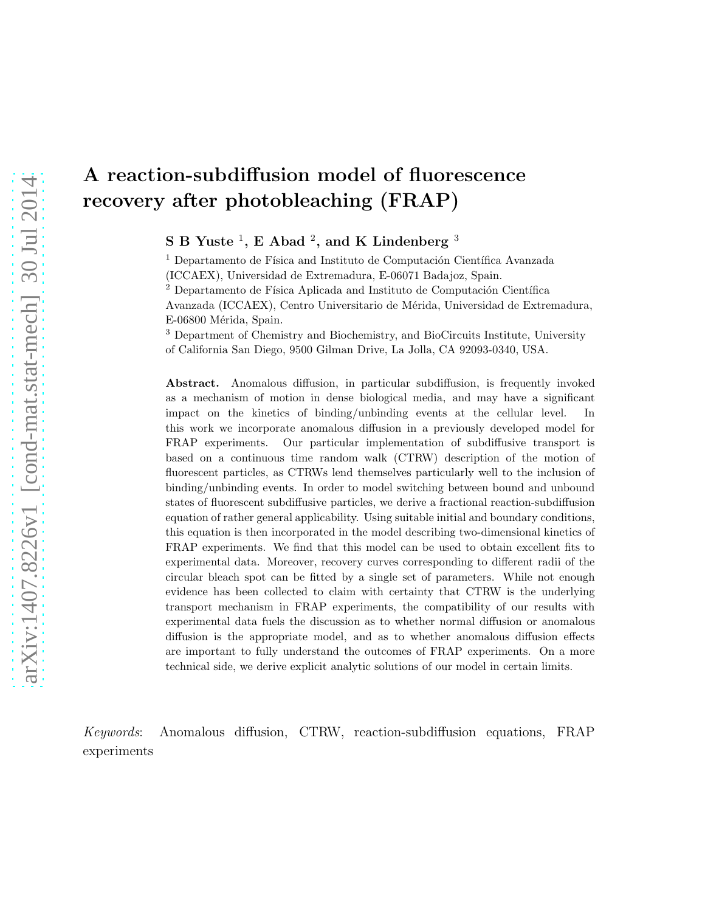# A reaction-subdiffusion model of fluorescence recovery after photobleaching (FRAP)

 $\textbf{S} \textbf{B}$  Yuste  $^1$ ,  $\textbf{E}$  Abad  $^2$ , and  $\textbf{K}$  Lindenberg  $^3$ 

 $^1$  Departamento de Física and Instituto de Computación Científica Avanzada (ICCAEX), Universidad de Extremadura, E-06071 Badajoz, Spain.

 $2$  Departamento de Física Aplicada and Instituto de Computación Científica Avanzada (ICCAEX), Centro Universitario de M´erida, Universidad de Extremadura, E-06800 Mérida, Spain.

<sup>3</sup> Department of Chemistry and Biochemistry, and BioCircuits Institute, University of California San Diego, 9500 Gilman Drive, La Jolla, CA 92093-0340, USA.

Abstract. Anomalous diffusion, in particular subdiffusion, is frequently invoked as a mechanism of motion in dense biological media, and may have a significant impact on the kinetics of binding/unbinding events at the cellular level. In this work we incorporate anomalous diffusion in a previously developed model for FRAP experiments. Our particular implementation of subdiffusive transport is based on a continuous time random walk (CTRW) description of the motion of fluorescent particles, as CTRWs lend themselves particularly well to the inclusion of binding/unbinding events. In order to model switching between bound and unbound states of fluorescent subdiffusive particles, we derive a fractional reaction-subdiffusion equation of rather general applicability. Using suitable initial and boundary conditions, this equation is then incorporated in the model describing two-dimensional kinetics of FRAP experiments. We find that this model can be used to obtain excellent fits to experimental data. Moreover, recovery curves corresponding to different radii of the circular bleach spot can be fitted by a single set of parameters. While not enough evidence has been collected to claim with certainty that CTRW is the underlying transport mechanism in FRAP experiments, the compatibility of our results with experimental data fuels the discussion as to whether normal diffusion or anomalous diffusion is the appropriate model, and as to whether anomalous diffusion effects are important to fully understand the outcomes of FRAP experiments. On a more technical side, we derive explicit analytic solutions of our model in certain limits.

Keywords: Anomalous diffusion, CTRW, reaction-subdiffusion equations, FRAP experiments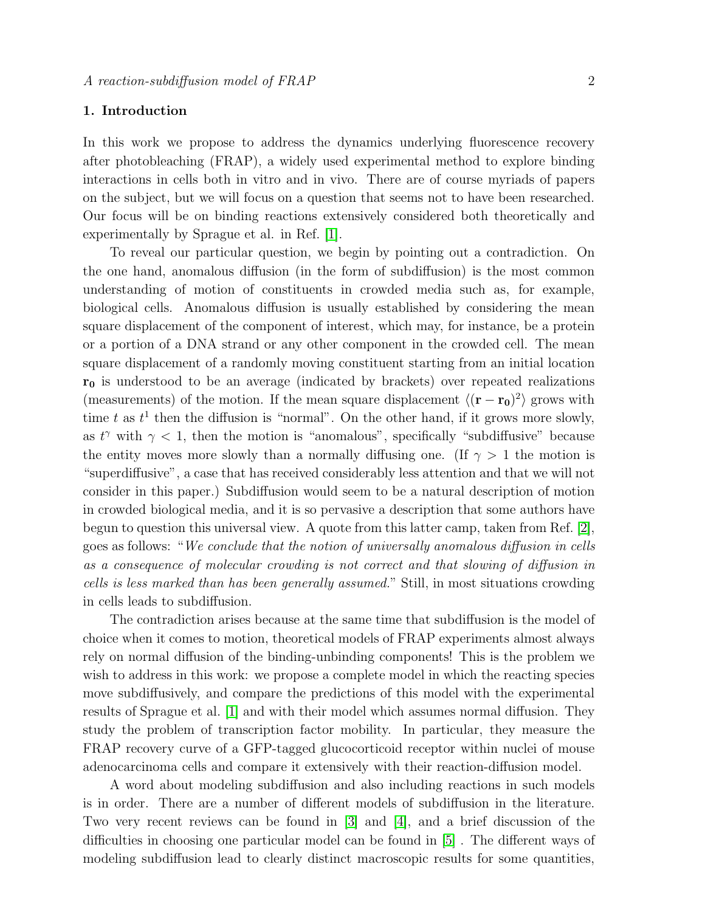# 1. Introduction

In this work we propose to address the dynamics underlying fluorescence recovery after photobleaching (FRAP), a widely used experimental method to explore binding interactions in cells both in vitro and in vivo. There are of course myriads of papers on the subject, but we will focus on a question that seems not to have been researched. Our focus will be on binding reactions extensively considered both theoretically and experimentally by Sprague et al. in Ref. [\[1\]](#page-19-0).

To reveal our particular question, we begin by pointing out a contradiction. On the one hand, anomalous diffusion (in the form of subdiffusion) is the most common understanding of motion of constituents in crowded media such as, for example, biological cells. Anomalous diffusion is usually established by considering the mean square displacement of the component of interest, which may, for instance, be a protein or a portion of a DNA strand or any other component in the crowded cell. The mean square displacement of a randomly moving constituent starting from an initial location  $r_0$  is understood to be an average (indicated by brackets) over repeated realizations (measurements) of the motion. If the mean square displacement  $\langle (\mathbf{r} - \mathbf{r_0})^2 \rangle$  grows with time t as  $t^1$  then the diffusion is "normal". On the other hand, if it grows more slowly, as  $t^{\gamma}$  with  $\gamma$  < 1, then the motion is "anomalous", specifically "subdiffusive" because the entity moves more slowly than a normally diffusing one. (If  $\gamma > 1$  the motion is "superdiffusive", a case that has received considerably less attention and that we will not consider in this paper.) Subdiffusion would seem to be a natural description of motion in crowded biological media, and it is so pervasive a description that some authors have begun to question this universal view. A quote from this latter camp, taken from Ref. [\[2\]](#page-19-1), goes as follows: "We conclude that the notion of universally anomalous diffusion in cells as a consequence of molecular crowding is not correct and that slowing of diffusion in cells is less marked than has been generally assumed." Still, in most situations crowding in cells leads to subdiffusion.

The contradiction arises because at the same time that subdiffusion is the model of choice when it comes to motion, theoretical models of FRAP experiments almost always rely on normal diffusion of the binding-unbinding components! This is the problem we wish to address in this work: we propose a complete model in which the reacting species move subdiffusively, and compare the predictions of this model with the experimental results of Sprague et al. [\[1\]](#page-19-0) and with their model which assumes normal diffusion. They study the problem of transcription factor mobility. In particular, they measure the FRAP recovery curve of a GFP-tagged glucocorticoid receptor within nuclei of mouse adenocarcinoma cells and compare it extensively with their reaction-diffusion model.

A word about modeling subdiffusion and also including reactions in such models is in order. There are a number of different models of subdiffusion in the literature. Two very recent reviews can be found in [\[3\]](#page-19-2) and [\[4\]](#page-19-3), and a brief discussion of the difficulties in choosing one particular model can be found in [\[5\]](#page-19-4) . The different ways of modeling subdiffusion lead to clearly distinct macroscopic results for some quantities,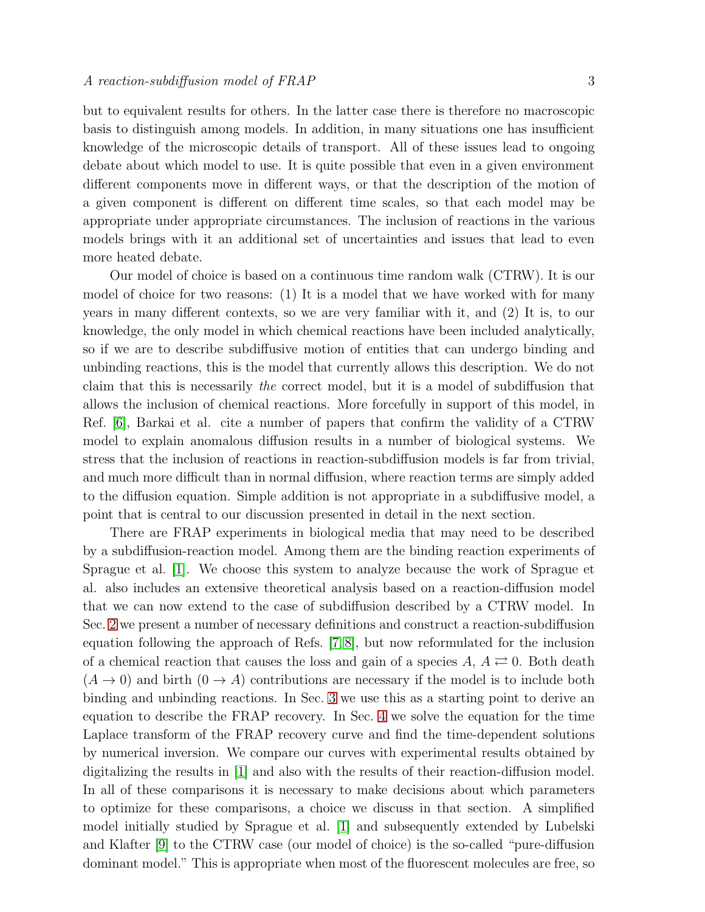but to equivalent results for others. In the latter case there is therefore no macroscopic basis to distinguish among models. In addition, in many situations one has insufficient knowledge of the microscopic details of transport. All of these issues lead to ongoing debate about which model to use. It is quite possible that even in a given environment different components move in different ways, or that the description of the motion of a given component is different on different time scales, so that each model may be appropriate under appropriate circumstances. The inclusion of reactions in the various models brings with it an additional set of uncertainties and issues that lead to even more heated debate.

Our model of choice is based on a continuous time random walk (CTRW). It is our model of choice for two reasons: (1) It is a model that we have worked with for many years in many different contexts, so we are very familiar with it, and (2) It is, to our knowledge, the only model in which chemical reactions have been included analytically, so if we are to describe subdiffusive motion of entities that can undergo binding and unbinding reactions, this is the model that currently allows this description. We do not claim that this is necessarily the correct model, but it is a model of subdiffusion that allows the inclusion of chemical reactions. More forcefully in support of this model, in Ref. [\[6\]](#page-19-5), Barkai et al. cite a number of papers that confirm the validity of a CTRW model to explain anomalous diffusion results in a number of biological systems. We stress that the inclusion of reactions in reaction-subdiffusion models is far from trivial, and much more difficult than in normal diffusion, where reaction terms are simply added to the diffusion equation. Simple addition is not appropriate in a subdiffusive model, a point that is central to our discussion presented in detail in the next section.

There are FRAP experiments in biological media that may need to be described by a subdiffusion-reaction model. Among them are the binding reaction experiments of Sprague et al. [\[1\]](#page-19-0). We choose this system to analyze because the work of Sprague et al. also includes an extensive theoretical analysis based on a reaction-diffusion model that we can now extend to the case of subdiffusion described by a CTRW model. In Sec. [2](#page-3-0) we present a number of necessary definitions and construct a reaction-subdiffusion equation following the approach of Refs. [\[7,](#page-19-6) [8\]](#page-19-7), but now reformulated for the inclusion of a chemical reaction that causes the loss and gain of a species  $A, A \rightleftarrows 0$ . Both death  $(A \rightarrow 0)$  and birth  $(0 \rightarrow A)$  contributions are necessary if the model is to include both binding and unbinding reactions. In Sec. [3](#page-8-0) we use this as a starting point to derive an equation to describe the FRAP recovery. In Sec. [4](#page-11-0) we solve the equation for the time Laplace transform of the FRAP recovery curve and find the time-dependent solutions by numerical inversion. We compare our curves with experimental results obtained by digitalizing the results in [\[1\]](#page-19-0) and also with the results of their reaction-diffusion model. In all of these comparisons it is necessary to make decisions about which parameters to optimize for these comparisons, a choice we discuss in that section. A simplified model initially studied by Sprague et al. [\[1\]](#page-19-0) and subsequently extended by Lubelski and Klafter [\[9\]](#page-19-8) to the CTRW case (our model of choice) is the so-called "pure-diffusion dominant model." This is appropriate when most of the fluorescent molecules are free, so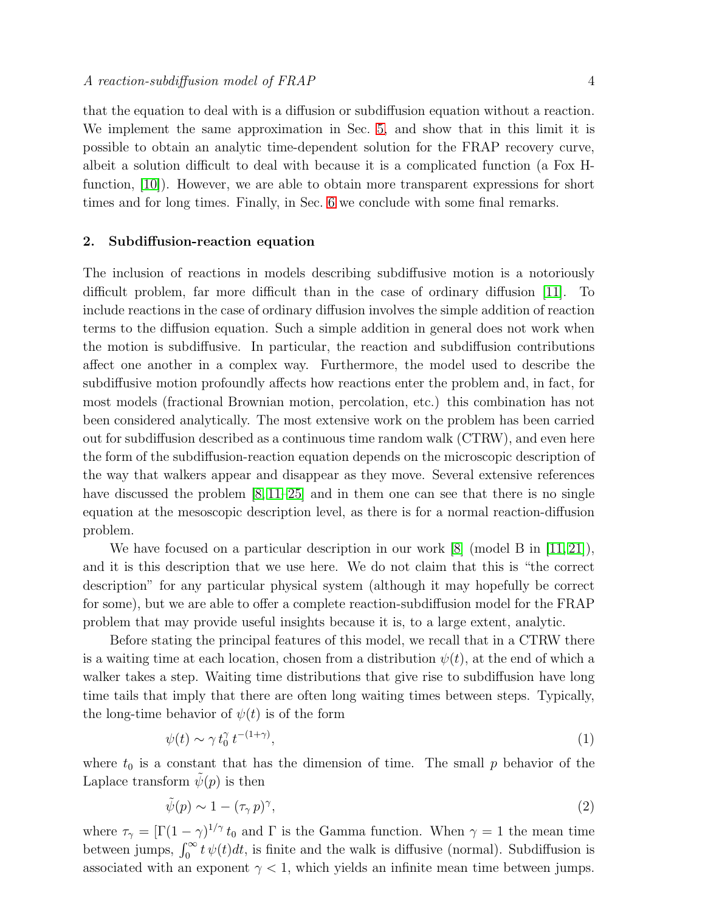that the equation to deal with is a diffusion or subdiffusion equation without a reaction. We implement the same approximation in Sec. [5,](#page-15-0) and show that in this limit it is possible to obtain an analytic time-dependent solution for the FRAP recovery curve, albeit a solution difficult to deal with because it is a complicated function (a Fox Hfunction, [\[10\]](#page-19-9)). However, we are able to obtain more transparent expressions for short times and for long times. Finally, in Sec. [6](#page-17-0) we conclude with some final remarks.

# <span id="page-3-0"></span>2. Subdiffusion-reaction equation

The inclusion of reactions in models describing subdiffusive motion is a notoriously difficult problem, far more difficult than in the case of ordinary diffusion [\[11\]](#page-19-10). To include reactions in the case of ordinary diffusion involves the simple addition of reaction terms to the diffusion equation. Such a simple addition in general does not work when the motion is subdiffusive. In particular, the reaction and subdiffusion contributions affect one another in a complex way. Furthermore, the model used to describe the subdiffusive motion profoundly affects how reactions enter the problem and, in fact, for most models (fractional Brownian motion, percolation, etc.) this combination has not been considered analytically. The most extensive work on the problem has been carried out for subdiffusion described as a continuous time random walk (CTRW), and even here the form of the subdiffusion-reaction equation depends on the microscopic description of the way that walkers appear and disappear as they move. Several extensive references have discussed the problem  $[8, 11-25]$  $[8, 11-25]$  $[8, 11-25]$  and in them one can see that there is no single equation at the mesoscopic description level, as there is for a normal reaction-diffusion problem.

We have focused on a particular description in our work  $[8]$  (model B in [\[11,](#page-19-10) [21\]](#page-20-1)), and it is this description that we use here. We do not claim that this is "the correct description" for any particular physical system (although it may hopefully be correct for some), but we are able to offer a complete reaction-subdiffusion model for the FRAP problem that may provide useful insights because it is, to a large extent, analytic.

Before stating the principal features of this model, we recall that in a CTRW there is a waiting time at each location, chosen from a distribution  $\psi(t)$ , at the end of which a walker takes a step. Waiting time distributions that give rise to subdiffusion have long time tails that imply that there are often long waiting times between steps. Typically, the long-time behavior of  $\psi(t)$  is of the form

$$
\psi(t) \sim \gamma t_0^{\gamma} t^{-(1+\gamma)},\tag{1}
$$

where  $t_0$  is a constant that has the dimension of time. The small p behavior of the Laplace transform  $\psi(p)$  is then

$$
\tilde{\psi}(p) \sim 1 - (\tau_{\gamma} p)^{\gamma},\tag{2}
$$

where  $\tau_{\gamma} = [\Gamma(1-\gamma)^{1/\gamma} t_0$  and  $\Gamma$  is the Gamma function. When  $\gamma = 1$  the mean time between jumps,  $\int_0^\infty t \psi(t) dt$ , is finite and the walk is diffusive (normal). Subdiffusion is associated with an exponent  $\gamma$  < 1, which yields an infinite mean time between jumps.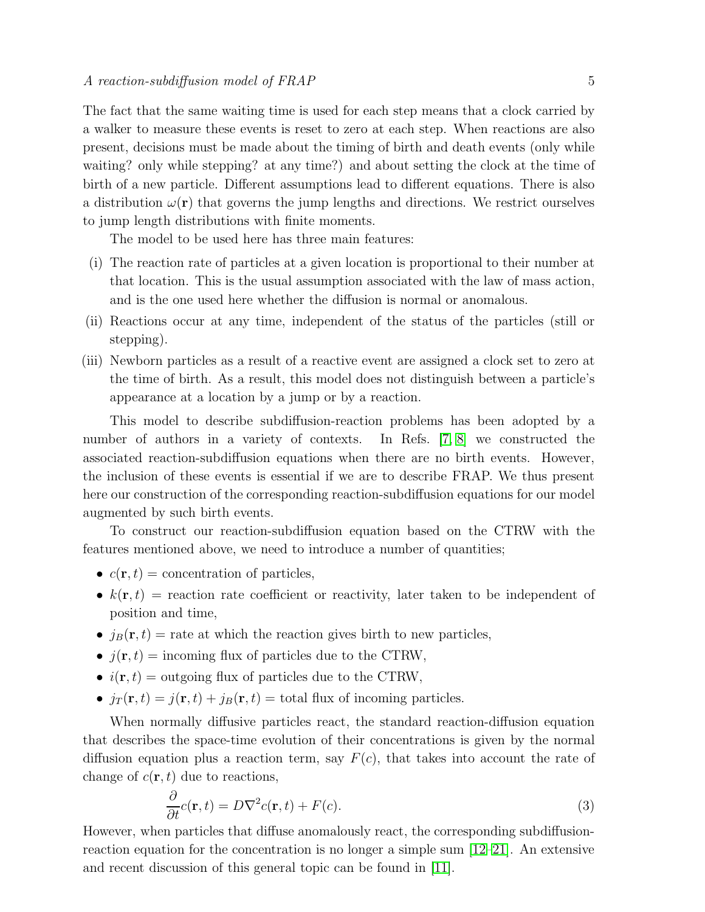The fact that the same waiting time is used for each step means that a clock carried by a walker to measure these events is reset to zero at each step. When reactions are also present, decisions must be made about the timing of birth and death events (only while waiting? only while stepping? at any time?) and about setting the clock at the time of birth of a new particle. Different assumptions lead to different equations. There is also a distribution  $\omega(\mathbf{r})$  that governs the jump lengths and directions. We restrict ourselves to jump length distributions with finite moments.

The model to be used here has three main features:

- (i) The reaction rate of particles at a given location is proportional to their number at that location. This is the usual assumption associated with the law of mass action, and is the one used here whether the diffusion is normal or anomalous.
- (ii) Reactions occur at any time, independent of the status of the particles (still or stepping).
- (iii) Newborn particles as a result of a reactive event are assigned a clock set to zero at the time of birth. As a result, this model does not distinguish between a particle's appearance at a location by a jump or by a reaction.

This model to describe subdiffusion-reaction problems has been adopted by a number of authors in a variety of contexts. In Refs. [\[7,](#page-19-6) [8\]](#page-19-7) we constructed the associated reaction-subdiffusion equations when there are no birth events. However, the inclusion of these events is essential if we are to describe FRAP. We thus present here our construction of the corresponding reaction-subdiffusion equations for our model augmented by such birth events.

To construct our reaction-subdiffusion equation based on the CTRW with the features mentioned above, we need to introduce a number of quantities;

- $c(\mathbf{r}, t) =$  concentration of particles,
- $k(\mathbf{r}, t)$  = reaction rate coefficient or reactivity, later taken to be independent of position and time,
- $j_B(\mathbf{r}, t) =$  rate at which the reaction gives birth to new particles,
- $j(\mathbf{r}, t) = \text{incoming flux of particles due to the CTRW},$
- $i(\mathbf{r}, t) =$  outgoing flux of particles due to the CTRW,
- $j_T(\mathbf{r}, t) = j(\mathbf{r}, t) + j_B(\mathbf{r}, t) =$  total flux of incoming particles.

When normally diffusive particles react, the standard reaction-diffusion equation that describes the space-time evolution of their concentrations is given by the normal diffusion equation plus a reaction term, say  $F(c)$ , that takes into account the rate of change of  $c(\mathbf{r}, t)$  due to reactions,

$$
\frac{\partial}{\partial t}c(\mathbf{r},t) = D\nabla^2 c(\mathbf{r},t) + F(c).
$$
\n(3)

However, when particles that diffuse anomalously react, the corresponding subdiffusionreaction equation for the concentration is no longer a simple sum  $[12-21]$  $[12-21]$ . An extensive and recent discussion of this general topic can be found in [\[11\]](#page-19-10).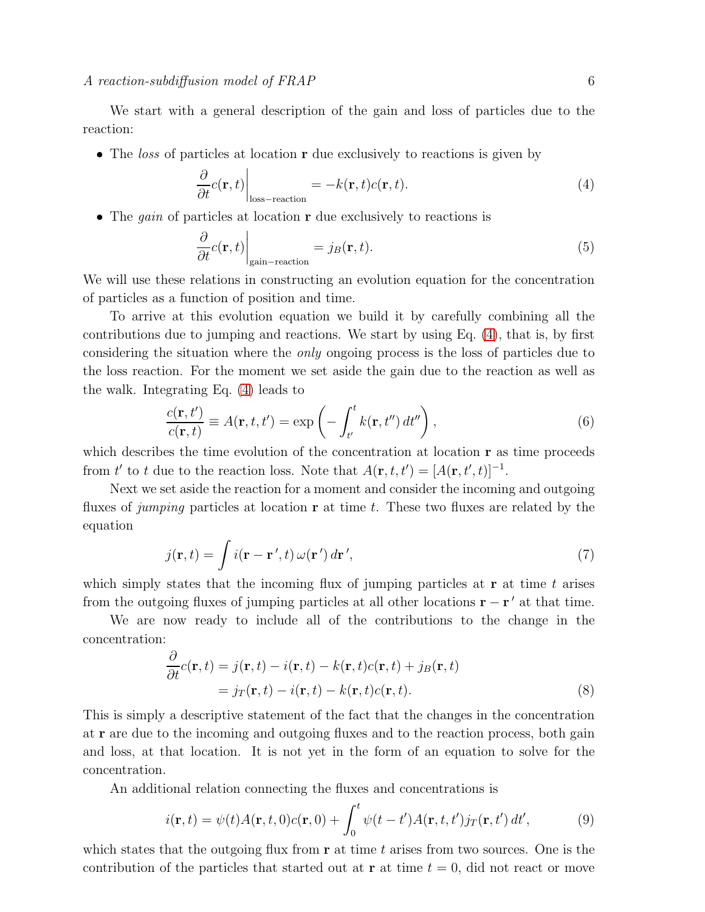We start with a general description of the gain and loss of particles due to the reaction:

• The loss of particles at location **r** due exclusively to reactions is given by

<span id="page-5-0"></span>
$$
\left. \frac{\partial}{\partial t} c(\mathbf{r}, t) \right|_{\text{loss-reaction}} = -k(\mathbf{r}, t) c(\mathbf{r}, t). \tag{4}
$$

• The *gain* of particles at location **r** due exclusively to reactions is

$$
\left. \frac{\partial}{\partial t} c(\mathbf{r}, t) \right|_{\text{gain-reaction}} = j_B(\mathbf{r}, t). \tag{5}
$$

We will use these relations in constructing an evolution equation for the concentration of particles as a function of position and time.

To arrive at this evolution equation we build it by carefully combining all the contributions due to jumping and reactions. We start by using Eq. [\(4\)](#page-5-0), that is, by first considering the situation where the only ongoing process is the loss of particles due to the loss reaction. For the moment we set aside the gain due to the reaction as well as the walk. Integrating Eq. [\(4\)](#page-5-0) leads to

$$
\frac{c(\mathbf{r},t')}{c(\mathbf{r},t)} \equiv A(\mathbf{r},t,t') = \exp\left(-\int_{t'}^{t} k(\mathbf{r},t'') dt''\right),\tag{6}
$$

which describes the time evolution of the concentration at location **r** as time proceeds from t' to t due to the reaction loss. Note that  $A(\mathbf{r}, t, t') = [A(\mathbf{r}, t', t)]^{-1}$ .

Next we set aside the reaction for a moment and consider the incoming and outgoing fluxes of jumping particles at location  $\bf{r}$  at time t. These two fluxes are related by the equation

<span id="page-5-1"></span>
$$
j(\mathbf{r},t) = \int i(\mathbf{r} - \mathbf{r}',t) \,\omega(\mathbf{r}') d\mathbf{r}',\tag{7}
$$

which simply states that the incoming flux of jumping particles at  $\bf{r}$  at time t arises from the outgoing fluxes of jumping particles at all other locations  $\mathbf{r} - \mathbf{r}'$  at that time.

We are now ready to include all of the contributions to the change in the concentration:

<span id="page-5-2"></span>
$$
\frac{\partial}{\partial t}c(\mathbf{r},t) = j(\mathbf{r},t) - i(\mathbf{r},t) - k(\mathbf{r},t)c(\mathbf{r},t) + j_B(\mathbf{r},t) \n= j_T(\mathbf{r},t) - i(\mathbf{r},t) - k(\mathbf{r},t)c(\mathbf{r},t).
$$
\n(8)

This is simply a descriptive statement of the fact that the changes in the concentration at r are due to the incoming and outgoing fluxes and to the reaction process, both gain and loss, at that location. It is not yet in the form of an equation to solve for the concentration.

An additional relation connecting the fluxes and concentrations is

<span id="page-5-3"></span>
$$
i(\mathbf{r},t) = \psi(t)A(\mathbf{r},t,0)c(\mathbf{r},0) + \int_0^t \psi(t-t')A(\mathbf{r},t,t')j_T(\mathbf{r},t') dt',
$$
\n(9)

which states that the outgoing flux from  $\bf{r}$  at time t arises from two sources. One is the contribution of the particles that started out at **r** at time  $t = 0$ , did not react or move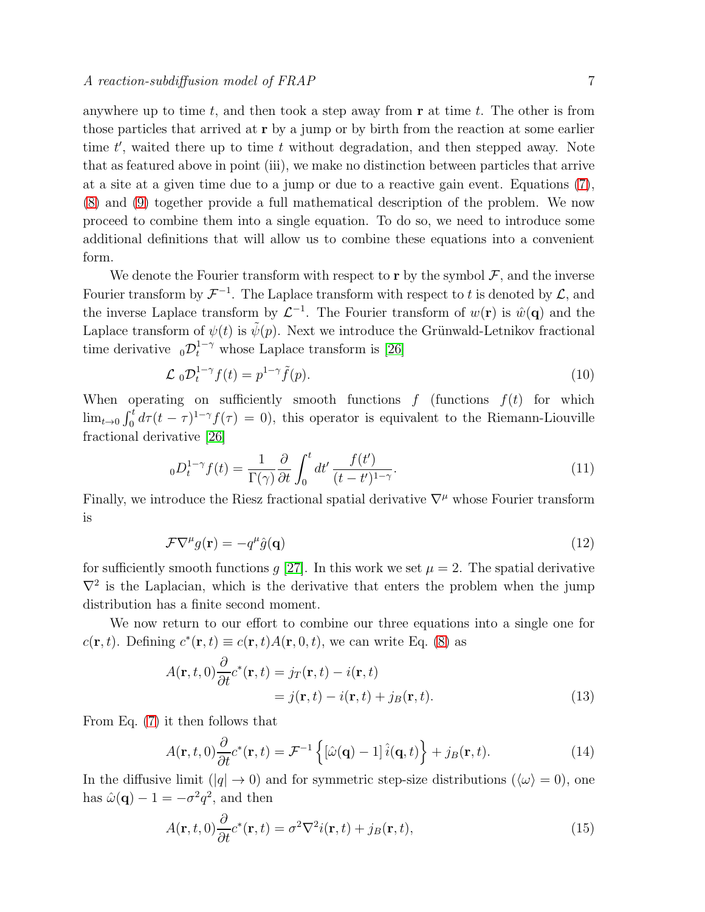anywhere up to time t, and then took a step away from  $\bf{r}$  at time t. The other is from those particles that arrived at r by a jump or by birth from the reaction at some earlier time  $t'$ , waited there up to time  $t$  without degradation, and then stepped away. Note that as featured above in point (iii), we make no distinction between particles that arrive at a site at a given time due to a jump or due to a reactive gain event. Equations [\(7\)](#page-5-1), [\(8\)](#page-5-2) and [\(9\)](#page-5-3) together provide a full mathematical description of the problem. We now proceed to combine them into a single equation. To do so, we need to introduce some additional definitions that will allow us to combine these equations into a convenient form.

We denote the Fourier transform with respect to  $\mathbf r$  by the symbol  $\mathcal F$ , and the inverse Fourier transform by  $\mathcal{F}^{-1}$ . The Laplace transform with respect to t is denoted by  $\mathcal{L}$ , and the inverse Laplace transform by  $\mathcal{L}^{-1}$ . The Fourier transform of  $w(\mathbf{r})$  is  $\hat{w}(\mathbf{q})$  and the Laplace transform of  $\psi(t)$  is  $\tilde{\psi}(p)$ . Next we introduce the Grünwald-Letnikov fractional time derivative  $_0\mathcal{D}_t^{1-\gamma}$  whose Laplace transform is [\[26\]](#page-20-2)

$$
\mathcal{L}_0 \mathcal{D}_t^{1-\gamma} f(t) = p^{1-\gamma} \tilde{f}(p). \tag{10}
$$

When operating on sufficiently smooth functions  $f$  (functions  $f(t)$  for which  $\lim_{t\to 0} \int_0^t d\tau (t-\tau)^{1-\gamma} f(\tau) = 0$ , this operator is equivalent to the Riemann-Liouville fractional derivative [\[26\]](#page-20-2)

$$
{}_{0}D_{t}^{1-\gamma}f(t) = \frac{1}{\Gamma(\gamma)}\frac{\partial}{\partial t}\int_{0}^{t}dt' \frac{f(t')}{(t-t')^{1-\gamma}}.\tag{11}
$$

Finally, we introduce the Riesz fractional spatial derivative  $\nabla^{\mu}$  whose Fourier transform is

$$
\mathcal{F}\nabla^{\mu}g(\mathbf{r}) = -q^{\mu}\hat{g}(\mathbf{q})\tag{12}
$$

for sufficiently smooth functions g [\[27\]](#page-20-3). In this work we set  $\mu = 2$ . The spatial derivative  $\nabla^2$  is the Laplacian, which is the derivative that enters the problem when the jump distribution has a finite second moment.

We now return to our effort to combine our three equations into a single one for  $c(\mathbf{r}, t)$ . Defining  $c^*(\mathbf{r}, t) \equiv c(\mathbf{r}, t)A(\mathbf{r}, 0, t)$ , we can write Eq. [\(8\)](#page-5-2) as

$$
A(\mathbf{r},t,0)\frac{\partial}{\partial t}c^*(\mathbf{r},t) = j_T(\mathbf{r},t) - i(\mathbf{r},t) = j(\mathbf{r},t) - i(\mathbf{r},t) + j_B(\mathbf{r},t).
$$
\n(13)

From Eq. [\(7\)](#page-5-1) it then follows that

$$
A(\mathbf{r},t,0)\frac{\partial}{\partial t}c^*(\mathbf{r},t) = \mathcal{F}^{-1}\left\{ \left[\hat{\omega}(\mathbf{q}) - 1\right]\hat{i}(\mathbf{q},t) \right\} + j_B(\mathbf{r},t). \tag{14}
$$

In the diffusive limit  $(|q| \to 0)$  and for symmetric step-size distributions  $(\langle \omega \rangle = 0)$ , one has  $\hat{\omega}(\mathbf{q}) - 1 = -\sigma^2 q^2$ , and then

<span id="page-6-0"></span>
$$
A(\mathbf{r},t,0)\frac{\partial}{\partial t}c^*(\mathbf{r},t) = \sigma^2 \nabla^2 i(\mathbf{r},t) + j_B(\mathbf{r},t),
$$
\n(15)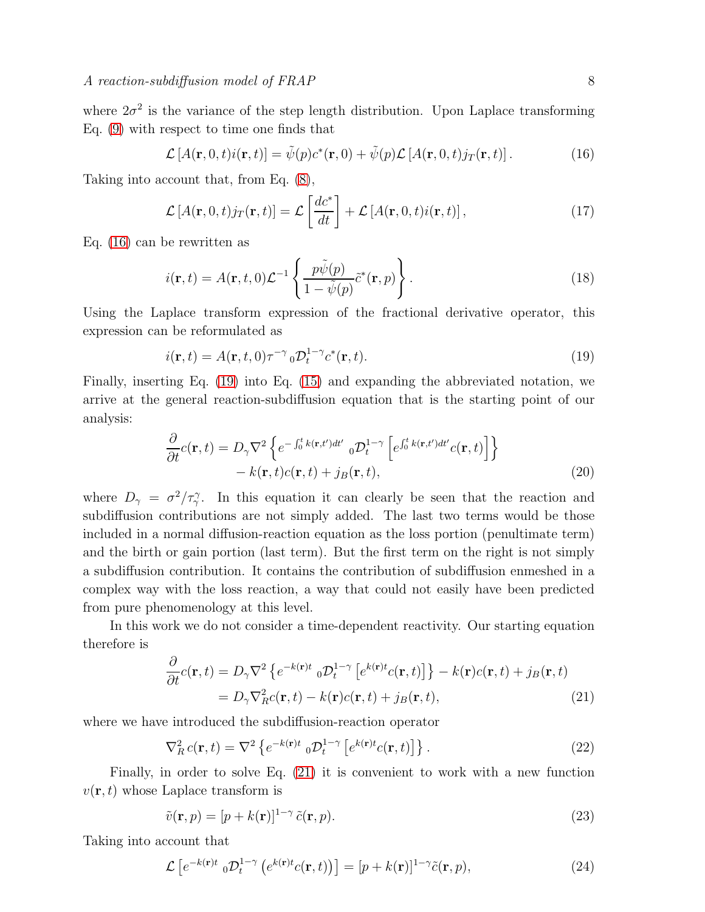where  $2\sigma^2$  is the variance of the step length distribution. Upon Laplace transforming Eq. [\(9\)](#page-5-3) with respect to time one finds that

<span id="page-7-0"></span>
$$
\mathcal{L}[A(\mathbf{r},0,t)i(\mathbf{r},t)] = \tilde{\psi}(p)c^*(\mathbf{r},0) + \tilde{\psi}(p)\mathcal{L}[A(\mathbf{r},0,t)j_T(\mathbf{r},t)].
$$
\n(16)

Taking into account that, from Eq. [\(8\)](#page-5-2),

$$
\mathcal{L}\left[A(\mathbf{r},0,t)j_T(\mathbf{r},t)\right] = \mathcal{L}\left[\frac{dc^*}{dt}\right] + \mathcal{L}\left[A(\mathbf{r},0,t)i(\mathbf{r},t)\right],\tag{17}
$$

Eq. [\(16\)](#page-7-0) can be rewritten as

$$
i(\mathbf{r},t) = A(\mathbf{r},t,0)\mathcal{L}^{-1}\left\{\frac{p\tilde{\psi}(p)}{1-\tilde{\psi}(p)}\tilde{c}^*(\mathbf{r},p)\right\}.
$$
\n(18)

Using the Laplace transform expression of the fractional derivative operator, this expression can be reformulated as

<span id="page-7-1"></span>
$$
i(\mathbf{r},t) = A(\mathbf{r},t,0)\tau^{-\gamma}{}_{0}\mathcal{D}_{t}^{1-\gamma}{}_{c}{}^{*}(\mathbf{r},t).
$$
\n(19)

Finally, inserting Eq. [\(19\)](#page-7-1) into Eq. [\(15\)](#page-6-0) and expanding the abbreviated notation, we arrive at the general reaction-subdiffusion equation that is the starting point of our analysis:

$$
\frac{\partial}{\partial t}c(\mathbf{r},t) = D_{\gamma}\nabla^{2}\left\{e^{-\int_{0}^{t}k(\mathbf{r},t')dt'}\,_{0}\mathcal{D}_{t}^{1-\gamma}\left[e^{\int_{0}^{t}k(\mathbf{r},t')dt'}c(\mathbf{r},t)\right]\right\} - k(\mathbf{r},t)c(\mathbf{r},t) + j_{B}(\mathbf{r},t),
$$
\n(20)

where  $D_{\gamma} = \sigma^2/\tau_{\gamma}^{\gamma}$ . In this equation it can clearly be seen that the reaction and subdiffusion contributions are not simply added. The last two terms would be those included in a normal diffusion-reaction equation as the loss portion (penultimate term) and the birth or gain portion (last term). But the first term on the right is not simply a subdiffusion contribution. It contains the contribution of subdiffusion enmeshed in a complex way with the loss reaction, a way that could not easily have been predicted from pure phenomenology at this level.

In this work we do not consider a time-dependent reactivity. Our starting equation therefore is

<span id="page-7-2"></span>
$$
\frac{\partial}{\partial t}c(\mathbf{r},t) = D_{\gamma}\nabla^2 \left\{ e^{-k(\mathbf{r})t} \, {}_0\mathcal{D}_t^{1-\gamma} \left[ e^{k(\mathbf{r})t}c(\mathbf{r},t) \right] \right\} - k(\mathbf{r})c(\mathbf{r},t) + j_B(\mathbf{r},t) \n= D_{\gamma}\nabla_R^2c(\mathbf{r},t) - k(\mathbf{r})c(\mathbf{r},t) + j_B(\mathbf{r},t),
$$
\n(21)

where we have introduced the subdiffusion-reaction operator

<span id="page-7-3"></span>
$$
\nabla_R^2 c(\mathbf{r}, t) = \nabla^2 \left\{ e^{-k(\mathbf{r})t} \, {}_0\mathcal{D}_t^{1-\gamma} \left[ e^{k(\mathbf{r})t} c(\mathbf{r}, t) \right] \right\}.
$$
 (22)

Finally, in order to solve Eq. [\(21\)](#page-7-2) it is convenient to work with a new function  $v(\mathbf{r}, t)$  whose Laplace transform is

$$
\tilde{v}(\mathbf{r},p) = [p + k(\mathbf{r})]^{1-\gamma} \tilde{c}(\mathbf{r},p).
$$
\n(23)

Taking into account that

$$
\mathcal{L}\left[e^{-k(\mathbf{r})t} \, {}_{0}\mathcal{D}^{1-\gamma}_{t}\left(e^{k(\mathbf{r})t}c(\mathbf{r},t)\right)\right] = [p+k(\mathbf{r})]^{1-\gamma}\tilde{c}(\mathbf{r},p),\tag{24}
$$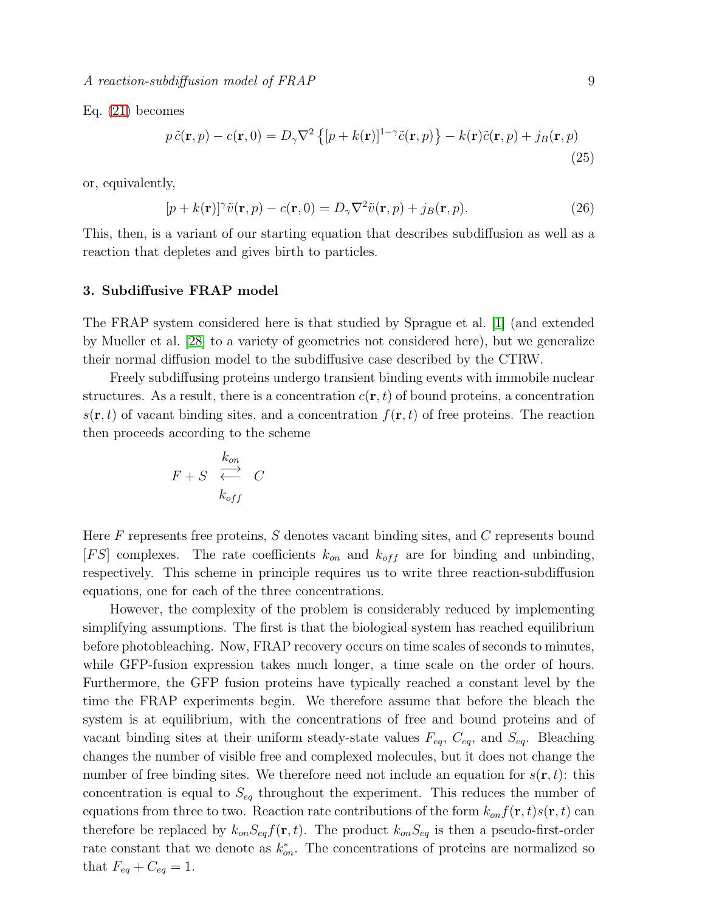$A$  reaction-subdiffusion model of  $FRAP$  9

Eq. [\(21\)](#page-7-2) becomes

$$
p\,\tilde{c}(\mathbf{r},p) - c(\mathbf{r},0) = D_{\gamma}\nabla^{2}\left\{[p+k(\mathbf{r})]^{1-\gamma}\tilde{c}(\mathbf{r},p)\right\} - k(\mathbf{r})\tilde{c}(\mathbf{r},p) + j_{B}(\mathbf{r},p)
$$
\n(25)

or, equivalently,

$$
[p + k(\mathbf{r})]^{\gamma}\tilde{v}(\mathbf{r}, p) - c(\mathbf{r}, 0) = D_{\gamma}\nabla^2\tilde{v}(\mathbf{r}, p) + j_B(\mathbf{r}, p). \tag{26}
$$

This, then, is a variant of our starting equation that describes subdiffusion as well as a reaction that depletes and gives birth to particles.

#### <span id="page-8-0"></span>3. Subdiffusive FRAP model

The FRAP system considered here is that studied by Sprague et al. [\[1\]](#page-19-0) (and extended by Mueller et al. [\[28\]](#page-20-4) to a variety of geometries not considered here), but we generalize their normal diffusion model to the subdiffusive case described by the CTRW.

Freely subdiffusing proteins undergo transient binding events with immobile nuclear structures. As a result, there is a concentration  $c(\mathbf{r}, t)$  of bound proteins, a concentration  $s(\mathbf{r}, t)$  of vacant binding sites, and a concentration  $f(\mathbf{r}, t)$  of free proteins. The reaction then proceeds according to the scheme

$$
F + S \begin{array}{c} k_{on} \\ \stackrel{\longrightarrow}{\longleftrightarrow} \\ k_{off} \end{array} C
$$

Here  $F$  represents free proteins,  $S$  denotes vacant binding sites, and  $C$  represents bound  $[FS]$  complexes. The rate coefficients  $k_{on}$  and  $k_{off}$  are for binding and unbinding, respectively. This scheme in principle requires us to write three reaction-subdiffusion equations, one for each of the three concentrations.

However, the complexity of the problem is considerably reduced by implementing simplifying assumptions. The first is that the biological system has reached equilibrium before photobleaching. Now, FRAP recovery occurs on time scales of seconds to minutes, while GFP-fusion expression takes much longer, a time scale on the order of hours. Furthermore, the GFP fusion proteins have typically reached a constant level by the time the FRAP experiments begin. We therefore assume that before the bleach the system is at equilibrium, with the concentrations of free and bound proteins and of vacant binding sites at their uniform steady-state values  $F_{eq}$ ,  $C_{eq}$ , and  $S_{eq}$ . Bleaching changes the number of visible free and complexed molecules, but it does not change the number of free binding sites. We therefore need not include an equation for  $s(\mathbf{r}, t)$ : this concentration is equal to  $S_{eq}$  throughout the experiment. This reduces the number of equations from three to two. Reaction rate contributions of the form  $k_{on}f(\mathbf{r},t)s(\mathbf{r},t)$  can therefore be replaced by  $k_{on}S_{eq}f(\mathbf{r},t)$ . The product  $k_{on}S_{eq}$  is then a pseudo-first-order rate constant that we denote as  $k_{on}^*$ . The concentrations of proteins are normalized so that  $F_{eq} + C_{eq} = 1$ .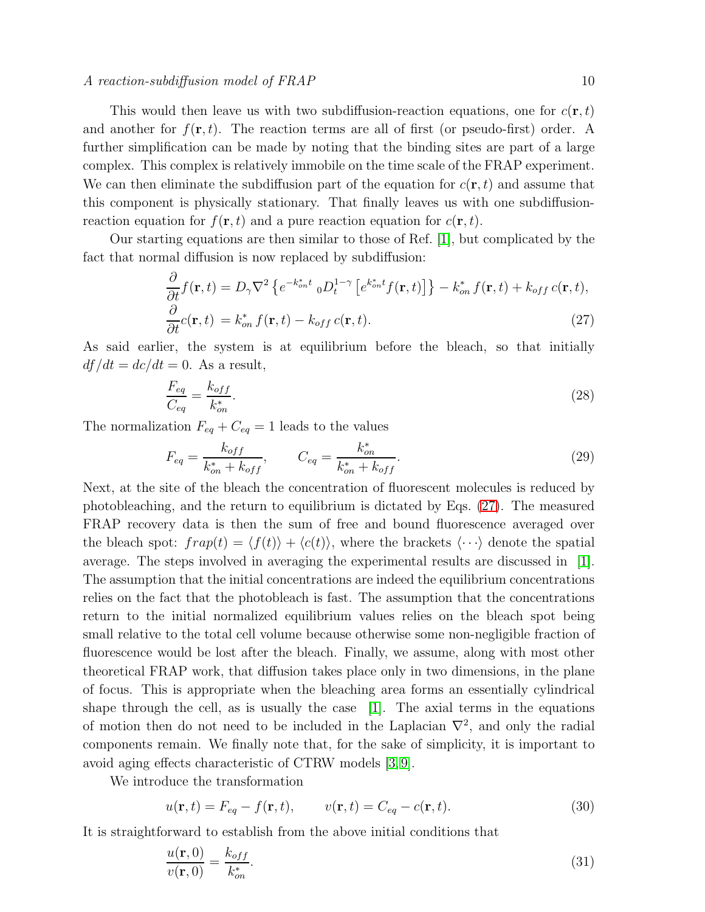#### $A$  reaction-subdiffusion model of  $FRAP$  10

This would then leave us with two subdiffusion-reaction equations, one for  $c(\mathbf{r},t)$ and another for  $f(\mathbf{r}, t)$ . The reaction terms are all of first (or pseudo-first) order. A further simplification can be made by noting that the binding sites are part of a large complex. This complex is relatively immobile on the time scale of the FRAP experiment. We can then eliminate the subdiffusion part of the equation for  $c(\mathbf{r}, t)$  and assume that this component is physically stationary. That finally leaves us with one subdiffusionreaction equation for  $f(\mathbf{r}, t)$  and a pure reaction equation for  $c(\mathbf{r}, t)$ .

Our starting equations are then similar to those of Ref. [\[1\]](#page-19-0), but complicated by the fact that normal diffusion is now replaced by subdiffusion:

<span id="page-9-0"></span>
$$
\frac{\partial}{\partial t} f(\mathbf{r}, t) = D_{\gamma} \nabla^2 \left\{ e^{-k_{on}^* t} {}_{0} D_{t}^{1-\gamma} \left[ e^{k_{on}^* t} f(\mathbf{r}, t) \right] \right\} - k_{on}^* f(\mathbf{r}, t) + k_{off} c(\mathbf{r}, t),
$$
\n
$$
\frac{\partial}{\partial t} c(\mathbf{r}, t) = k_{on}^* f(\mathbf{r}, t) - k_{off} c(\mathbf{r}, t).
$$
\n(27)

As said earlier, the system is at equilibrium before the bleach, so that initially  $df/dt = dc/dt = 0$ . As a result,

$$
\frac{F_{eq}}{C_{eq}} = \frac{k_{off}}{k_{on}^*}.\tag{28}
$$

The normalization  $F_{eq} + C_{eq} = 1$  leads to the values

<span id="page-9-1"></span>
$$
F_{eq} = \frac{k_{off}}{k_{on}^* + k_{off}}, \qquad C_{eq} = \frac{k_{on}^*}{k_{on}^* + k_{off}}.
$$
\n(29)

Next, at the site of the bleach the concentration of fluorescent molecules is reduced by photobleaching, and the return to equilibrium is dictated by Eqs. [\(27\)](#page-9-0). The measured FRAP recovery data is then the sum of free and bound fluorescence averaged over the bleach spot:  $frap(t) = \langle f(t) \rangle + \langle c(t) \rangle$ , where the brackets  $\langle \cdots \rangle$  denote the spatial average. The steps involved in averaging the experimental results are discussed in [\[1\]](#page-19-0). The assumption that the initial concentrations are indeed the equilibrium concentrations relies on the fact that the photobleach is fast. The assumption that the concentrations return to the initial normalized equilibrium values relies on the bleach spot being small relative to the total cell volume because otherwise some non-negligible fraction of fluorescence would be lost after the bleach. Finally, we assume, along with most other theoretical FRAP work, that diffusion takes place only in two dimensions, in the plane of focus. This is appropriate when the bleaching area forms an essentially cylindrical shape through the cell, as is usually the case [\[1\]](#page-19-0). The axial terms in the equations of motion then do not need to be included in the Laplacian  $\nabla^2$ , and only the radial components remain. We finally note that, for the sake of simplicity, it is important to avoid aging effects characteristic of CTRW models [\[3,](#page-19-2) [9\]](#page-19-8).

We introduce the transformation

$$
u(\mathbf{r},t) = F_{eq} - f(\mathbf{r},t), \qquad v(\mathbf{r},t) = C_{eq} - c(\mathbf{r},t). \tag{30}
$$

It is straightforward to establish from the above initial conditions that

$$
\frac{u(\mathbf{r},0)}{v(\mathbf{r},0)} = \frac{k_{off}}{k_{on}^*}.\tag{31}
$$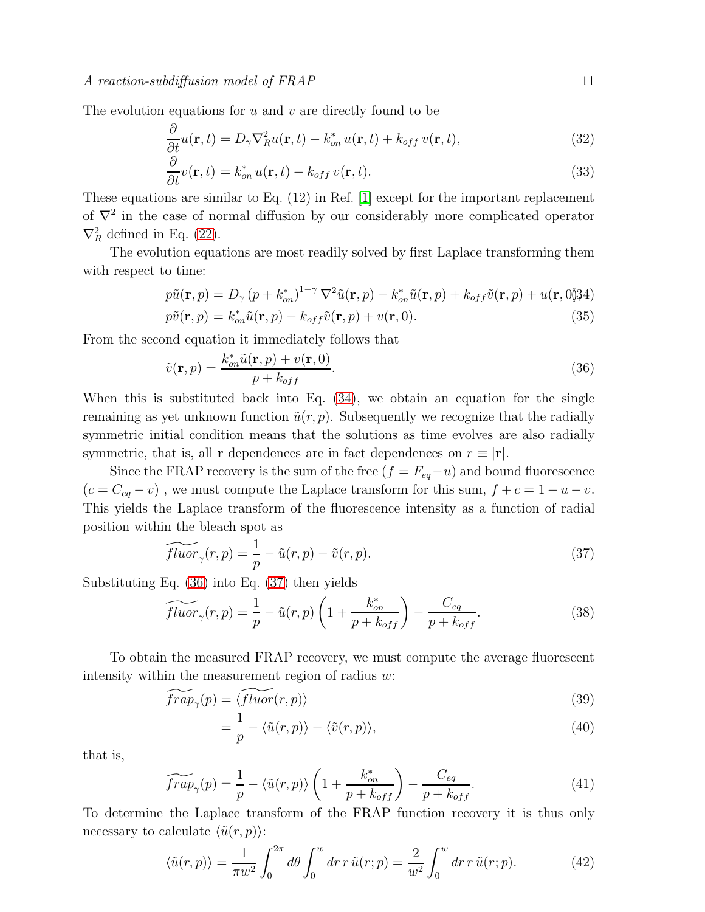The evolution equations for  $u$  and  $v$  are directly found to be

$$
\frac{\partial}{\partial t}u(\mathbf{r},t) = D_{\gamma}\nabla_{R}^{2}u(\mathbf{r},t) - k_{on}^{*}u(\mathbf{r},t) + k_{off}v(\mathbf{r},t),
$$
\n(32)

$$
\frac{\partial}{\partial t}v(\mathbf{r},t) = k_{on}^* u(\mathbf{r},t) - k_{off} v(\mathbf{r},t).
$$
\n(33)

These equations are similar to Eq. (12) in Ref. [\[1\]](#page-19-0) except for the important replacement of  $\nabla^2$  in the case of normal diffusion by our considerably more complicated operator  $\nabla_R^2$  defined in Eq. [\(22\)](#page-7-3).

The evolution equations are most readily solved by first Laplace transforming them with respect to time:

<span id="page-10-0"></span>
$$
p\tilde{u}(\mathbf{r},p) = D_{\gamma} (p + k_{on}^{*})^{1-\gamma} \nabla^{2} \tilde{u}(\mathbf{r},p) - k_{on}^{*} \tilde{u}(\mathbf{r},p) + k_{off} \tilde{v}(\mathbf{r},p) + u(\mathbf{r},0) \tag{35}
$$
  
\n
$$
p\tilde{v}(\mathbf{r},p) = k_{on}^{*} \tilde{u}(\mathbf{r},p) - k_{off} \tilde{v}(\mathbf{r},p) + v(\mathbf{r},0).
$$

From the second equation it immediately follows that

<span id="page-10-1"></span>
$$
\tilde{v}(\mathbf{r},p) = \frac{k_{on}^*\tilde{u}(\mathbf{r},p) + v(\mathbf{r},0)}{p + k_{off}}.\tag{36}
$$

When this is substituted back into Eq.  $(34)$ , we obtain an equation for the single remaining as yet unknown function  $\tilde{u}(r, p)$ . Subsequently we recognize that the radially symmetric initial condition means that the solutions as time evolves are also radially symmetric, that is, all **r** dependences are in fact dependences on  $r \equiv |\mathbf{r}|$ .

Since the FRAP recovery is the sum of the free  $(f = F_{eq} - u)$  and bound fluorescence  $(c = C_{eq} - v)$ , we must compute the Laplace transform for this sum,  $f + c = 1 - u - v$ . This yields the Laplace transform of the fluorescence intensity as a function of radial position within the bleach spot as

<span id="page-10-2"></span>
$$
\widetilde{fluor}_{\gamma}(r,p) = \frac{1}{p} - \tilde{u}(r,p) - \tilde{v}(r,p). \tag{37}
$$

Substituting Eq. [\(36\)](#page-10-1) into Eq. [\(37\)](#page-10-2) then yields

$$
\widetilde{fluor}_{\gamma}(r,p) = \frac{1}{p} - \tilde{u}(r,p) \left( 1 + \frac{k_{on}^*}{p + k_{off}} \right) - \frac{C_{eq}}{p + k_{off}}.
$$
\n(38)

To obtain the measured FRAP recovery, we must compute the average fluorescent intensity within the measurement region of radius w:

$$
\widetilde{frap}_{\gamma}(p) = \langle \widetilde{fluor}(r, p) \rangle \tag{39}
$$

$$
=\frac{1}{p}-\langle \tilde{u}(r,p)\rangle-\langle \tilde{v}(r,p)\rangle, \tag{40}
$$

that is,

$$
\widetilde{frap}_{\gamma}(p) = \frac{1}{p} - \langle \tilde{u}(r, p) \rangle \left( 1 + \frac{k_{on}^*}{p + k_{off}} \right) - \frac{C_{eq}}{p + k_{off}}.
$$
\n(41)

To determine the Laplace transform of the FRAP function recovery it is thus only necessary to calculate  $\langle \tilde{u}(r, p) \rangle$ :

$$
\langle \tilde{u}(r,p) \rangle = \frac{1}{\pi w^2} \int_0^{2\pi} d\theta \int_0^w dr \, r \, \tilde{u}(r;p) = \frac{2}{w^2} \int_0^w dr \, r \, \tilde{u}(r;p). \tag{42}
$$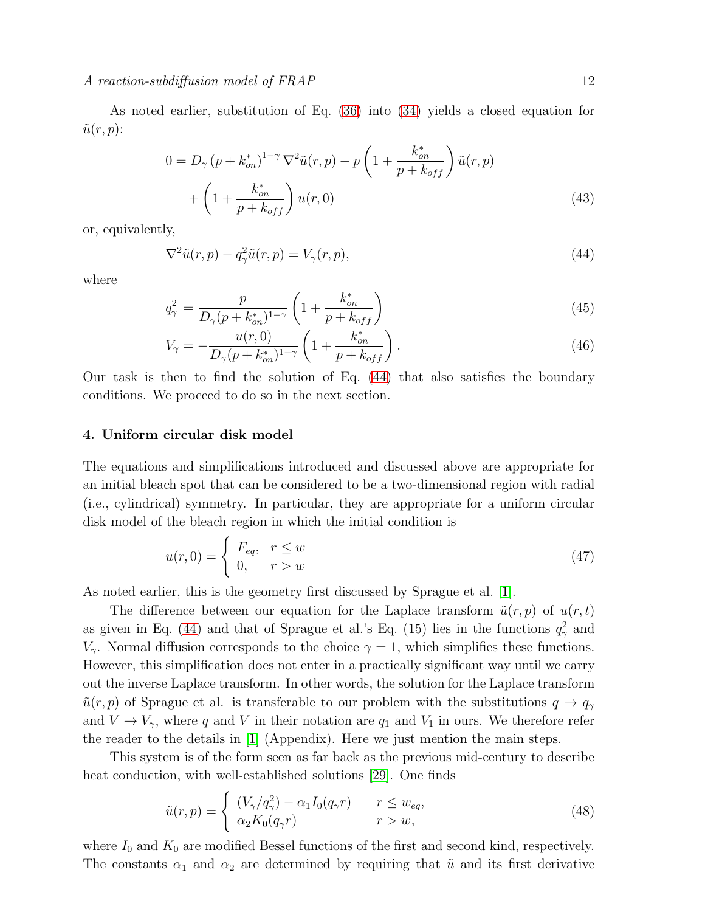## $\Lambda$  reaction-subdiffusion model of FRAP 12

As noted earlier, substitution of Eq. [\(36\)](#page-10-1) into [\(34\)](#page-10-0) yields a closed equation for  $\tilde{u}(r, p)$ :

$$
0 = D_{\gamma} (p + k_{on}^{*})^{1-\gamma} \nabla^{2} \tilde{u}(r, p) - p \left( 1 + \frac{k_{on}^{*}}{p + k_{off}} \right) \tilde{u}(r, p) + \left( 1 + \frac{k_{on}^{*}}{p + k_{off}} \right) u(r, 0)
$$
\n(43)

or, equivalently,

<span id="page-11-1"></span>
$$
\nabla^2 \tilde{u}(r, p) - q_\gamma^2 \tilde{u}(r, p) = V_\gamma(r, p), \qquad (44)
$$

where

$$
q_{\gamma}^{2} = \frac{p}{D_{\gamma}(p + k_{on}^{*})^{1-\gamma}} \left(1 + \frac{k_{on}^{*}}{p + k_{off}}\right)
$$
\n(45)

$$
V_{\gamma} = -\frac{u(r,0)}{D_{\gamma}(p + k_{on}^*)^{1-\gamma}} \left(1 + \frac{k_{on}^*}{p + k_{off}}\right). \tag{46}
$$

Our task is then to find the solution of Eq. [\(44\)](#page-11-1) that also satisfies the boundary conditions. We proceed to do so in the next section.

# <span id="page-11-0"></span>4. Uniform circular disk model

The equations and simplifications introduced and discussed above are appropriate for an initial bleach spot that can be considered to be a two-dimensional region with radial (i.e., cylindrical) symmetry. In particular, they are appropriate for a uniform circular disk model of the bleach region in which the initial condition is

$$
u(r,0) = \begin{cases} F_{eq}, & r \le w \\ 0, & r > w \end{cases}
$$
 (47)

As noted earlier, this is the geometry first discussed by Sprague et al. [\[1\]](#page-19-0).

The difference between our equation for the Laplace transform  $\tilde{u}(r, p)$  of  $u(r, t)$ as given in Eq. [\(44\)](#page-11-1) and that of Sprague et al.'s Eq. (15) lies in the functions  $q_\gamma^2$  and  $V_{\gamma}$ . Normal diffusion corresponds to the choice  $\gamma = 1$ , which simplifies these functions. However, this simplification does not enter in a practically significant way until we carry out the inverse Laplace transform. In other words, the solution for the Laplace transform  $\tilde{u}(r, p)$  of Sprague et al. is transferable to our problem with the substitutions  $q \to q<sub>\gamma</sub>$ and  $V \to V_{\gamma}$ , where q and V in their notation are  $q_1$  and  $V_1$  in ours. We therefore refer the reader to the details in [\[1\]](#page-19-0) (Appendix). Here we just mention the main steps.

This system is of the form seen as far back as the previous mid-century to describe heat conduction, with well-established solutions [\[29\]](#page-20-5). One finds

$$
\tilde{u}(r,p) = \begin{cases}\n(V_{\gamma}/q_{\gamma}^2) - \alpha_1 I_0(q_{\gamma}r) & r \le w_{eq}, \\
\alpha_2 K_0(q_{\gamma}r) & r > w,\n\end{cases}
$$
\n(48)

where  $I_0$  and  $K_0$  are modified Bessel functions of the first and second kind, respectively. The constants  $\alpha_1$  and  $\alpha_2$  are determined by requiring that  $\tilde{u}$  and its first derivative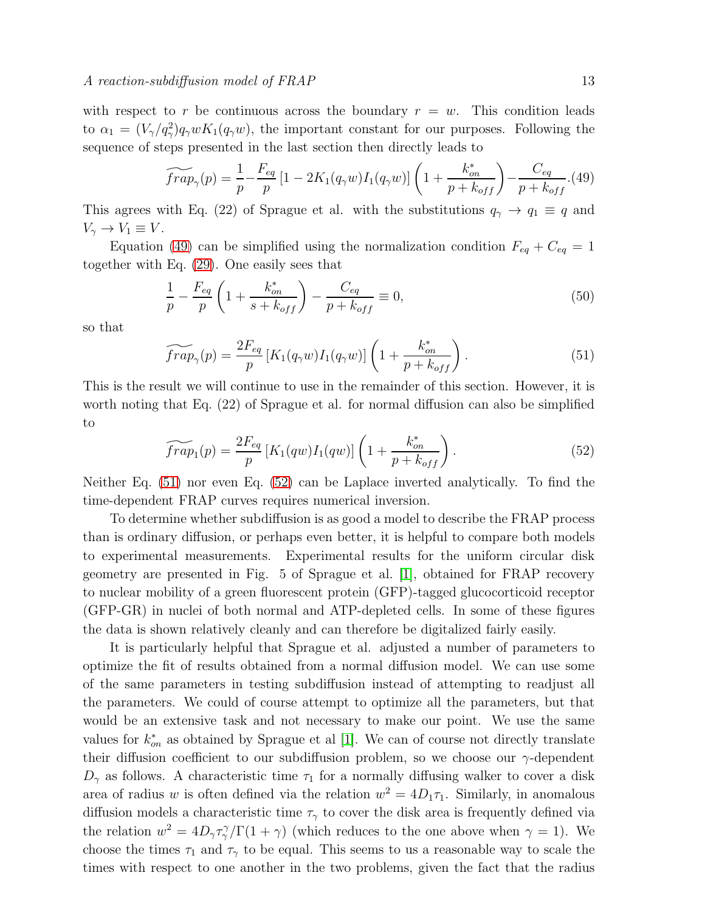with respect to r be continuous across the boundary  $r = w$ . This condition leads to  $\alpha_1 = (V_\gamma/q_\gamma^2) q_\gamma w K_1(q_\gamma w)$ , the important constant for our purposes. Following the sequence of steps presented in the last section then directly leads to

<span id="page-12-0"></span>
$$
\widetilde{frap}_{\gamma}(p) = \frac{1}{p} - \frac{F_{eq}}{p} \left[ 1 - 2K_1(q_{\gamma}w)I_1(q_{\gamma}w) \right] \left( 1 + \frac{k_{on}^*}{p + k_{off}} \right) - \frac{C_{eq}}{p + k_{off}}. (49)
$$

This agrees with Eq. (22) of Sprague et al. with the substitutions  $q_{\gamma} \to q_1 \equiv q$  and  $V_{\gamma} \rightarrow V_1 \equiv V$ .

Equation [\(49\)](#page-12-0) can be simplified using the normalization condition  $F_{eq} + C_{eq} = 1$ together with Eq. [\(29\)](#page-9-1). One easily sees that

$$
\frac{1}{p} - \frac{F_{eq}}{p} \left( 1 + \frac{k_{on}^*}{s + k_{off}} \right) - \frac{C_{eq}}{p + k_{off}} \equiv 0,
$$
\n(50)

so that

<span id="page-12-1"></span>
$$
\widetilde{frap}_{\gamma}(p) = \frac{2F_{eq}}{p} \left[ K_1(q_{\gamma}w)I_1(q_{\gamma}w) \right] \left( 1 + \frac{k_{on}^*}{p + k_{off}} \right). \tag{51}
$$

This is the result we will continue to use in the remainder of this section. However, it is worth noting that Eq. (22) of Sprague et al. for normal diffusion can also be simplified to

<span id="page-12-2"></span>
$$
\widetilde{frap}_1(p) = \frac{2F_{eq}}{p} \left[ K_1(qw) I_1(qw) \right] \left( 1 + \frac{k_{on}^*}{p + k_{off}} \right). \tag{52}
$$

Neither Eq. [\(51\)](#page-12-1) nor even Eq. [\(52\)](#page-12-2) can be Laplace inverted analytically. To find the time-dependent FRAP curves requires numerical inversion.

To determine whether subdiffusion is as good a model to describe the FRAP process than is ordinary diffusion, or perhaps even better, it is helpful to compare both models to experimental measurements. Experimental results for the uniform circular disk geometry are presented in Fig. 5 of Sprague et al. [\[1\]](#page-19-0), obtained for FRAP recovery to nuclear mobility of a green fluorescent protein (GFP)-tagged glucocorticoid receptor (GFP-GR) in nuclei of both normal and ATP-depleted cells. In some of these figures the data is shown relatively cleanly and can therefore be digitalized fairly easily.

It is particularly helpful that Sprague et al. adjusted a number of parameters to optimize the fit of results obtained from a normal diffusion model. We can use some of the same parameters in testing subdiffusion instead of attempting to readjust all the parameters. We could of course attempt to optimize all the parameters, but that would be an extensive task and not necessary to make our point. We use the same values for  $k_{on}^*$  as obtained by Sprague et al [\[1\]](#page-19-0). We can of course not directly translate their diffusion coefficient to our subdiffusion problem, so we choose our  $\gamma$ -dependent  $D_{\gamma}$  as follows. A characteristic time  $\tau_1$  for a normally diffusing walker to cover a disk area of radius w is often defined via the relation  $w^2 = 4D_1\tau_1$ . Similarly, in anomalous diffusion models a characteristic time  $\tau_{\gamma}$  to cover the disk area is frequently defined via the relation  $w^2 = 4D_{\gamma}\tau_{\gamma}^{\gamma}/\Gamma(1+\gamma)$  (which reduces to the one above when  $\gamma = 1$ ). We choose the times  $\tau_1$  and  $\tau_\gamma$  to be equal. This seems to us a reasonable way to scale the times with respect to one another in the two problems, given the fact that the radius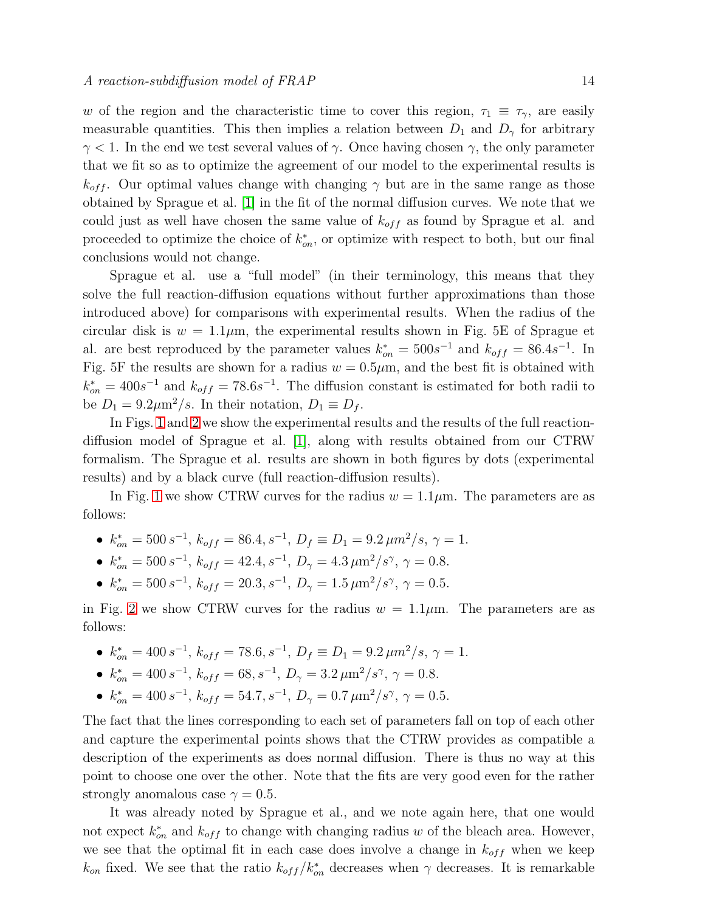w of the region and the characteristic time to cover this region,  $\tau_1 \equiv \tau_{\gamma}$ , are easily measurable quantities. This then implies a relation between  $D_1$  and  $D<sub>\gamma</sub>$  for arbitrary  $\gamma$  < 1. In the end we test several values of  $\gamma$ . Once having chosen  $\gamma$ , the only parameter that we fit so as to optimize the agreement of our model to the experimental results is  $k_{off}$ . Our optimal values change with changing  $\gamma$  but are in the same range as those obtained by Sprague et al. [\[1\]](#page-19-0) in the fit of the normal diffusion curves. We note that we could just as well have chosen the same value of  $k_{off}$  as found by Sprague et al. and proceeded to optimize the choice of  $k_{on}^*$ , or optimize with respect to both, but our final conclusions would not change.

Sprague et al. use a "full model" (in their terminology, this means that they solve the full reaction-diffusion equations without further approximations than those introduced above) for comparisons with experimental results. When the radius of the circular disk is  $w = 1.1 \mu m$ , the experimental results shown in Fig. 5E of Sprague et al. are best reproduced by the parameter values  $k_{on}^* = 500s^{-1}$  and  $k_{off} = 86.4s^{-1}$ . In Fig. 5F the results are shown for a radius  $w = 0.5 \mu m$ , and the best fit is obtained with  $k_{on}^* = 400s^{-1}$  and  $k_{off} = 78.6s^{-1}$ . The diffusion constant is estimated for both radii to be  $D_1 = 9.2 \mu m^2/s$ . In their notation,  $D_1 \equiv D_f$ .

In Figs. [1](#page-14-0) and [2](#page-14-1) we show the experimental results and the results of the full reactiondiffusion model of Sprague et al. [\[1\]](#page-19-0), along with results obtained from our CTRW formalism. The Sprague et al. results are shown in both figures by dots (experimental results) and by a black curve (full reaction-diffusion results).

In Fig. [1](#page-14-0) we show CTRW curves for the radius  $w = 1.1 \mu m$ . The parameters are as follows:

- $k_{on}^* = 500 s^{-1}, k_{off} = 86.4, s^{-1}, D_f \equiv D_1 = 9.2 \,\mu m^2/s, \gamma = 1.$
- $k_{on}^* = 500 s^{-1}, k_{off} = 42.4, s^{-1}, D_\gamma = 4.3 \,\mu \text{m}^2/\text{s}^\gamma, \gamma = 0.8.$
- $k_{on}^* = 500 s^{-1}, k_{off} = 20.3, s^{-1}, D_\gamma = 1.5 \,\mu \text{m}^2/\text{s}^\gamma, \gamma = 0.5.$

in Fig. [2](#page-14-1) we show CTRW curves for the radius  $w = 1.1 \mu m$ . The parameters are as follows:

- $k_{on}^* = 400 s^{-1}, k_{off} = 78.6, s^{-1}, D_f \equiv D_1 = 9.2 \,\mu m^2/s, \gamma = 1.$
- $k_{on}^* = 400 s^{-1}, k_{off} = 68, s^{-1}, D_\gamma = 3.2 \,\mu \text{m}^2/\text{s}^\gamma, \gamma = 0.8.$
- $k_{on}^* = 400 s^{-1}, k_{off} = 54.7, s^{-1}, D_\gamma = 0.7 \,\mu \text{m}^2/\text{s}^\gamma, \, \gamma = 0.5.$

The fact that the lines corresponding to each set of parameters fall on top of each other and capture the experimental points shows that the CTRW provides as compatible a description of the experiments as does normal diffusion. There is thus no way at this point to choose one over the other. Note that the fits are very good even for the rather strongly anomalous case  $\gamma = 0.5$ .

It was already noted by Sprague et al., and we note again here, that one would not expect  $k_{on}^*$  and  $k_{off}$  to change with changing radius w of the bleach area. However, we see that the optimal fit in each case does involve a change in  $k_{off}$  when we keep  $k_{on}$  fixed. We see that the ratio  $k_{off}/k_{on}^*$  decreases when  $\gamma$  decreases. It is remarkable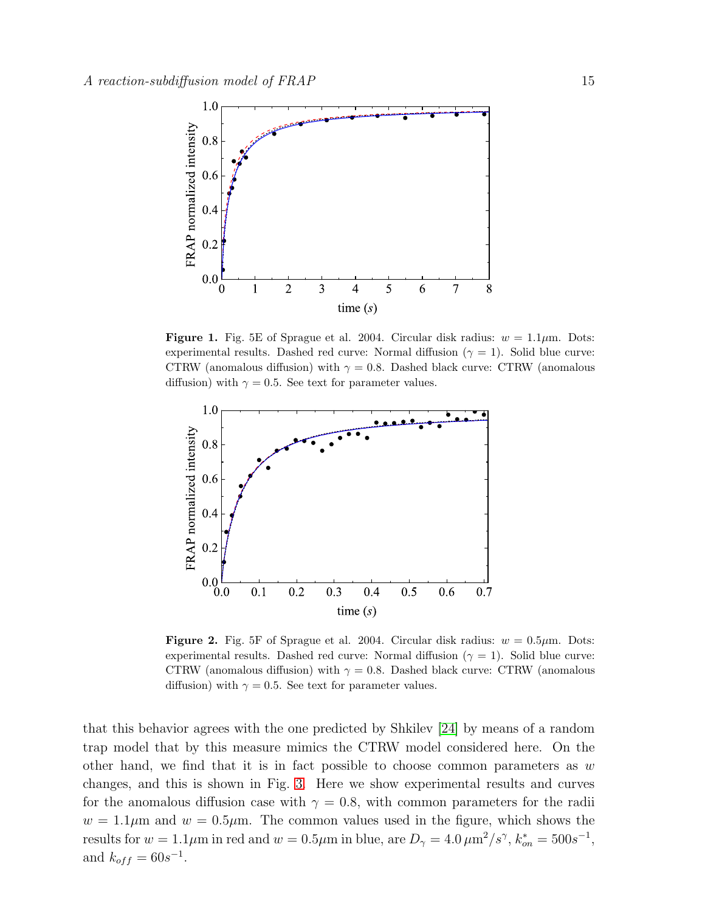

<span id="page-14-0"></span>**Figure 1.** Fig. 5E of Sprague et al. 2004. Circular disk radius:  $w = 1.1 \mu m$ . Dots: experimental results. Dashed red curve: Normal diffusion ( $\gamma = 1$ ). Solid blue curve: CTRW (anomalous diffusion) with  $\gamma = 0.8$ . Dashed black curve: CTRW (anomalous diffusion) with  $\gamma = 0.5$ . See text for parameter values.



<span id="page-14-1"></span>**Figure 2.** Fig. 5F of Sprague et al. 2004. Circular disk radius:  $w = 0.5 \mu m$ . Dots: experimental results. Dashed red curve: Normal diffusion ( $\gamma = 1$ ). Solid blue curve: CTRW (anomalous diffusion) with  $\gamma = 0.8$ . Dashed black curve: CTRW (anomalous diffusion) with  $\gamma = 0.5$ . See text for parameter values.

that this behavior agrees with the one predicted by Shkilev [\[24\]](#page-20-6) by means of a random trap model that by this measure mimics the CTRW model considered here. On the other hand, we find that it is in fact possible to choose common parameters as  $w$ changes, and this is shown in Fig. [3.](#page-15-1) Here we show experimental results and curves for the anomalous diffusion case with  $\gamma = 0.8$ , with common parameters for the radii  $w = 1.1 \mu m$  and  $w = 0.5 \mu m$ . The common values used in the figure, which shows the results for  $w = 1.1 \mu m$  in red and  $w = 0.5 \mu m$  in blue, are  $D_{\gamma} = 4.0 \,\mu m^2/s^{\gamma}, k_{on}^* = 500 s^{-1}$ , and  $k_{off} = 60s^{-1}$ .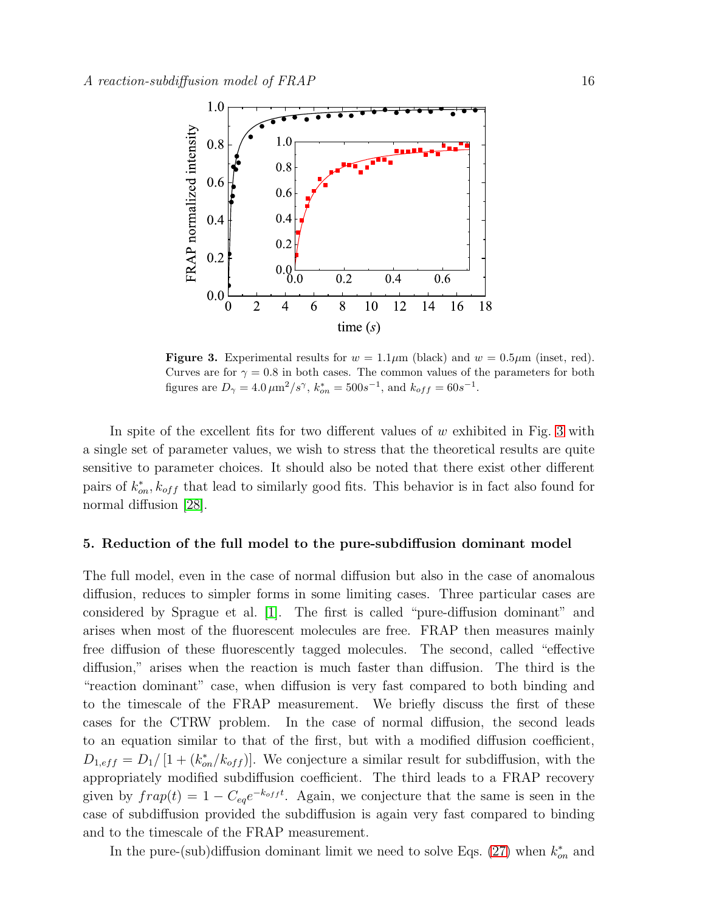

<span id="page-15-1"></span>**Figure 3.** Experimental results for  $w = 1.1 \mu m$  (black) and  $w = 0.5 \mu m$  (inset, red). Curves are for  $\gamma = 0.8$  in both cases. The common values of the parameters for both figures are  $D_{\gamma} = 4.0 \,\mu \text{m}^2/\text{s}^{\gamma}$ ,  $k_{on}^* = 500 \text{s}^{-1}$ , and  $k_{off} = 60 \text{s}^{-1}$ .

In spite of the excellent fits for two different values of  $w$  exhibited in Fig. [3](#page-15-1) with a single set of parameter values, we wish to stress that the theoretical results are quite sensitive to parameter choices. It should also be noted that there exist other different pairs of  $k_{on}^*, k_{off}$  that lead to similarly good fits. This behavior is in fact also found for normal diffusion [\[28\]](#page-20-4).

# <span id="page-15-0"></span>5. Reduction of the full model to the pure-subdiffusion dominant model

The full model, even in the case of normal diffusion but also in the case of anomalous diffusion, reduces to simpler forms in some limiting cases. Three particular cases are considered by Sprague et al. [\[1\]](#page-19-0). The first is called "pure-diffusion dominant" and arises when most of the fluorescent molecules are free. FRAP then measures mainly free diffusion of these fluorescently tagged molecules. The second, called "effective diffusion," arises when the reaction is much faster than diffusion. The third is the "reaction dominant" case, when diffusion is very fast compared to both binding and to the timescale of the FRAP measurement. We briefly discuss the first of these cases for the CTRW problem. In the case of normal diffusion, the second leads to an equation similar to that of the first, but with a modified diffusion coefficient,  $D_{1,eff} = D_1/[1 + (k_{on}^*/k_{off})]$ . We conjecture a similar result for subdiffusion, with the appropriately modified subdiffusion coefficient. The third leads to a FRAP recovery given by  $frap(t) = 1 - C_{eq}e^{-k_{off}t}$ . Again, we conjecture that the same is seen in the case of subdiffusion provided the subdiffusion is again very fast compared to binding and to the timescale of the FRAP measurement.

In the pure-(sub)diffusion dominant limit we need to solve Eqs. [\(27\)](#page-9-0) when  $k_{on}^*$  and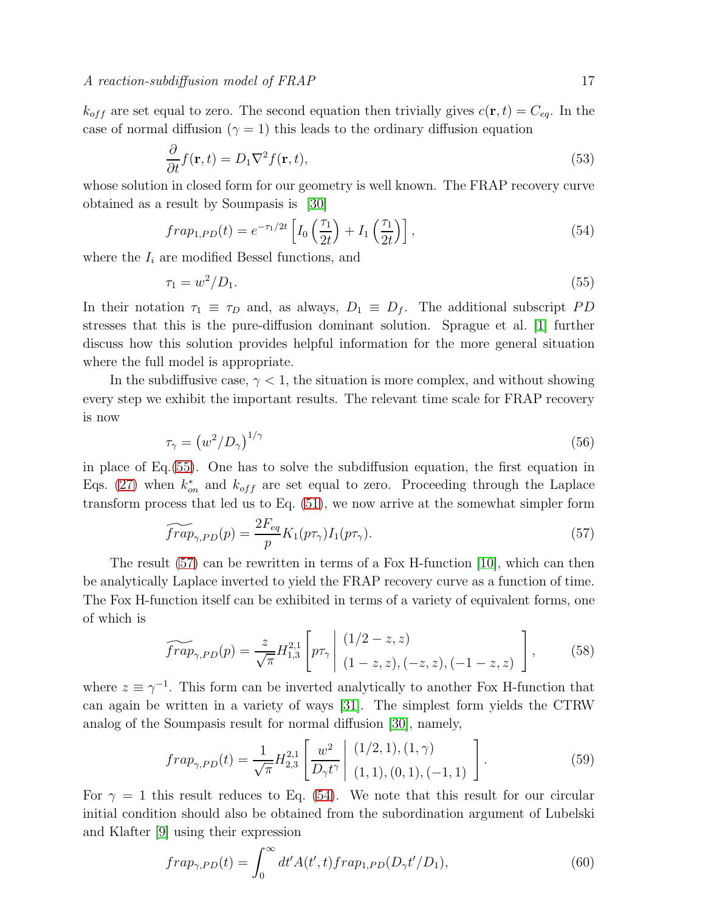$k_{off}$  are set equal to zero. The second equation then trivially gives  $c(\mathbf{r}, t) = C_{eq}$ . In the case of normal diffusion ( $\gamma = 1$ ) this leads to the ordinary diffusion equation

$$
\frac{\partial}{\partial t} f(\mathbf{r}, t) = D_1 \nabla^2 f(\mathbf{r}, t),\tag{53}
$$

whose solution in closed form for our geometry is well known. The FRAP recovery curve obtained as a result by Soumpasis is [\[30\]](#page-20-7)

<span id="page-16-2"></span>
$$
frap_{1,PD}(t) = e^{-\tau_1/2t} \left[ I_0\left(\frac{\tau_1}{2t}\right) + I_1\left(\frac{\tau_1}{2t}\right) \right],\tag{54}
$$

where the  $I_i$  are modified Bessel functions, and

<span id="page-16-0"></span>
$$
\tau_1 = w^2/D_1. \tag{55}
$$

In their notation  $\tau_1 \equiv \tau_D$  and, as always,  $D_1 \equiv D_f$ . The additional subscript PD stresses that this is the pure-diffusion dominant solution. Sprague et al. [\[1\]](#page-19-0) further discuss how this solution provides helpful information for the more general situation where the full model is appropriate.

In the subdiffusive case,  $\gamma < 1$ , the situation is more complex, and without showing every step we exhibit the important results. The relevant time scale for FRAP recovery is now

$$
\tau_{\gamma} = \left(w^2/D_{\gamma}\right)^{1/\gamma} \tag{56}
$$

in place of Eq.[\(55\)](#page-16-0). One has to solve the subdiffusion equation, the first equation in Eqs. [\(27\)](#page-9-0) when  $k_{on}^*$  and  $k_{off}$  are set equal to zero. Proceeding through the Laplace transform process that led us to Eq. [\(51\)](#page-12-1), we now arrive at the somewhat simpler form

<span id="page-16-1"></span>
$$
\widetilde{frap}_{\gamma,PD}(p) = \frac{2F_{eq}}{p} K_1(p\tau_\gamma) I_1(p\tau_\gamma). \tag{57}
$$

The result [\(57\)](#page-16-1) can be rewritten in terms of a Fox H-function [\[10\]](#page-19-9), which can then be analytically Laplace inverted to yield the FRAP recovery curve as a function of time. The Fox H-function itself can be exhibited in terms of a variety of equivalent forms, one of which is

$$
\widetilde{frap}_{\gamma,PD}(p) = \frac{z}{\sqrt{\pi}} H_{1,3}^{2,1} \left[ p\tau_{\gamma} \middle| \begin{array}{l} (1/2-z,z) \\ (1-z,z), (-z,z), (-1-z,z) \end{array} \right],\tag{58}
$$

where  $z \equiv \gamma^{-1}$ . This form can be inverted analytically to another Fox H-function that can again be written in a variety of ways [\[31\]](#page-20-8). The simplest form yields the CTRW analog of the Soumpasis result for normal diffusion [\[30\]](#page-20-7), namely,

<span id="page-16-3"></span>
$$
frap_{\gamma,PD}(t) = \frac{1}{\sqrt{\pi}} H_{2,3}^{2,1} \left[ \frac{w^2}{D_\gamma t^\gamma} \middle| \begin{array}{l} (1/2,1), (1,\gamma) \\ (1,1), (0,1), (-1,1) \end{array} \right]. \tag{59}
$$

For  $\gamma = 1$  this result reduces to Eq. [\(54\)](#page-16-2). We note that this result for our circular initial condition should also be obtained from the subordination argument of Lubelski and Klafter [\[9\]](#page-19-8) using their expression

$$
frap_{\gamma, PD}(t) = \int_0^\infty dt' A(t', t) frap_{1, PD}(D_\gamma t'/D_1),\tag{60}
$$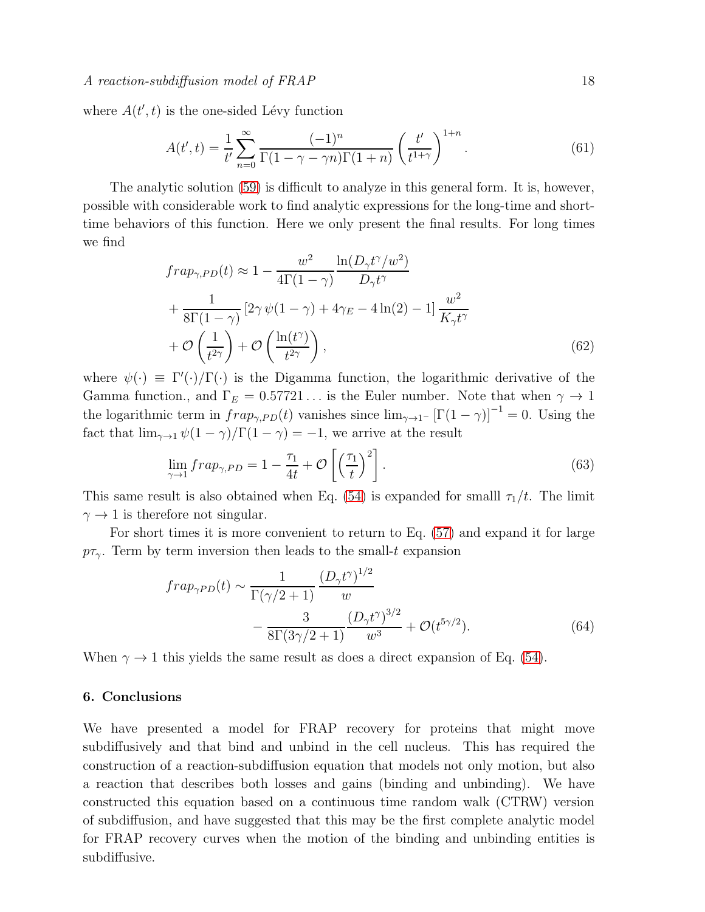where  $A(t', t)$  is the one-sided Lévy function

$$
A(t',t) = \frac{1}{t'} \sum_{n=0}^{\infty} \frac{(-1)^n}{\Gamma(1 - \gamma - \gamma n)\Gamma(1 + n)} \left(\frac{t'}{t^{1+\gamma}}\right)^{1+n}.
$$
 (61)

The analytic solution [\(59\)](#page-16-3) is difficult to analyze in this general form. It is, however, possible with considerable work to find analytic expressions for the long-time and shorttime behaviors of this function. Here we only present the final results. For long times we find

$$
frap_{\gamma,PD}(t) \approx 1 - \frac{w^2}{4\Gamma(1-\gamma)} \frac{\ln(D_\gamma t^\gamma/w^2)}{D_\gamma t^\gamma} + \frac{1}{8\Gamma(1-\gamma)} \left[2\gamma \psi(1-\gamma) + 4\gamma_E - 4\ln(2) - 1\right] \frac{w^2}{K_\gamma t^\gamma} + \mathcal{O}\left(\frac{1}{t^{2\gamma}}\right) + \mathcal{O}\left(\frac{\ln(t^\gamma)}{t^{2\gamma}}\right),\tag{62}
$$

where  $\psi(\cdot) \equiv \Gamma'(\cdot)/\Gamma(\cdot)$  is the Digamma function, the logarithmic derivative of the Gamma function., and  $\Gamma_E = 0.57721...$  is the Euler number. Note that when  $\gamma \to 1$ the logarithmic term in  $frap_{\gamma, PD}(t)$  vanishes since  $\lim_{\gamma \to 1^-} [\Gamma(1-\gamma)]^{-1} = 0$ . Using the fact that  $\lim_{\gamma \to 1} \psi(1 - \gamma) / \Gamma(1 - \gamma) = -1$ , we arrive at the result

$$
\lim_{\gamma \to 1} \operatorname{frap}_{\gamma, PD} = 1 - \frac{\tau_1}{4t} + \mathcal{O}\left[\left(\frac{\tau_1}{t}\right)^2\right].\tag{63}
$$

This same result is also obtained when Eq. [\(54\)](#page-16-2) is expanded for smalll  $\tau_1/t$ . The limit  $\gamma \rightarrow 1$  is therefore not singular.

For short times it is more convenient to return to Eq. [\(57\)](#page-16-1) and expand it for large  $p\tau_{\gamma}$ . Term by term inversion then leads to the small-t expansion

$$
frap_{\gamma PD}(t) \sim \frac{1}{\Gamma(\gamma/2+1)} \frac{(D_{\gamma}t^{\gamma})^{1/2}}{w} - \frac{3}{8\Gamma(3\gamma/2+1)} \frac{(D_{\gamma}t^{\gamma})^{3/2}}{w^3} + \mathcal{O}(t^{5\gamma/2}).
$$
\n(64)

When  $\gamma \rightarrow 1$  this yields the same result as does a direct expansion of Eq. [\(54\)](#page-16-2).

# <span id="page-17-0"></span>6. Conclusions

We have presented a model for FRAP recovery for proteins that might move subdiffusively and that bind and unbind in the cell nucleus. This has required the construction of a reaction-subdiffusion equation that models not only motion, but also a reaction that describes both losses and gains (binding and unbinding). We have constructed this equation based on a continuous time random walk (CTRW) version of subdiffusion, and have suggested that this may be the first complete analytic model for FRAP recovery curves when the motion of the binding and unbinding entities is subdiffusive.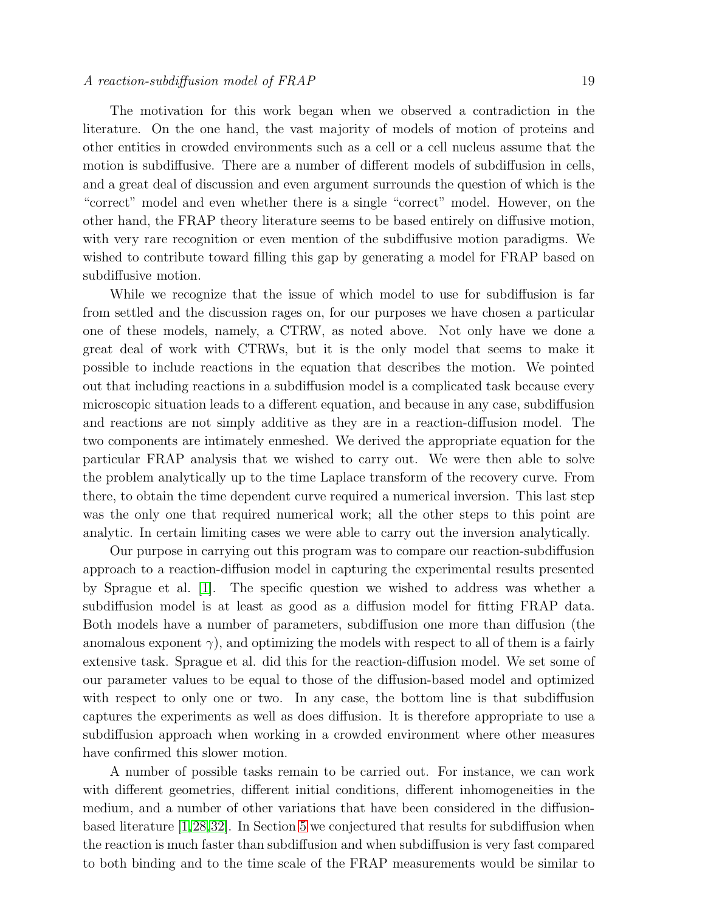#### $A$  reaction-subdiffusion model of  $FRAP$  19

The motivation for this work began when we observed a contradiction in the literature. On the one hand, the vast majority of models of motion of proteins and other entities in crowded environments such as a cell or a cell nucleus assume that the motion is subdiffusive. There are a number of different models of subdiffusion in cells, and a great deal of discussion and even argument surrounds the question of which is the "correct" model and even whether there is a single "correct" model. However, on the other hand, the FRAP theory literature seems to be based entirely on diffusive motion, with very rare recognition or even mention of the subdiffusive motion paradigms. We wished to contribute toward filling this gap by generating a model for FRAP based on subdiffusive motion.

While we recognize that the issue of which model to use for subdiffusion is far from settled and the discussion rages on, for our purposes we have chosen a particular one of these models, namely, a CTRW, as noted above. Not only have we done a great deal of work with CTRWs, but it is the only model that seems to make it possible to include reactions in the equation that describes the motion. We pointed out that including reactions in a subdiffusion model is a complicated task because every microscopic situation leads to a different equation, and because in any case, subdiffusion and reactions are not simply additive as they are in a reaction-diffusion model. The two components are intimately enmeshed. We derived the appropriate equation for the particular FRAP analysis that we wished to carry out. We were then able to solve the problem analytically up to the time Laplace transform of the recovery curve. From there, to obtain the time dependent curve required a numerical inversion. This last step was the only one that required numerical work; all the other steps to this point are analytic. In certain limiting cases we were able to carry out the inversion analytically.

Our purpose in carrying out this program was to compare our reaction-subdiffusion approach to a reaction-diffusion model in capturing the experimental results presented by Sprague et al. [\[1\]](#page-19-0). The specific question we wished to address was whether a subdiffusion model is at least as good as a diffusion model for fitting FRAP data. Both models have a number of parameters, subdiffusion one more than diffusion (the anomalous exponent  $\gamma$ , and optimizing the models with respect to all of them is a fairly extensive task. Sprague et al. did this for the reaction-diffusion model. We set some of our parameter values to be equal to those of the diffusion-based model and optimized with respect to only one or two. In any case, the bottom line is that subdiffusion captures the experiments as well as does diffusion. It is therefore appropriate to use a subdiffusion approach when working in a crowded environment where other measures have confirmed this slower motion.

A number of possible tasks remain to be carried out. For instance, we can work with different geometries, different initial conditions, different inhomogeneities in the medium, and a number of other variations that have been considered in the diffusionbased literature [\[1,](#page-19-0)[28,](#page-20-4)[32\]](#page-20-9). In Section [5](#page-15-0) we conjectured that results for subdiffusion when the reaction is much faster than subdiffusion and when subdiffusion is very fast compared to both binding and to the time scale of the FRAP measurements would be similar to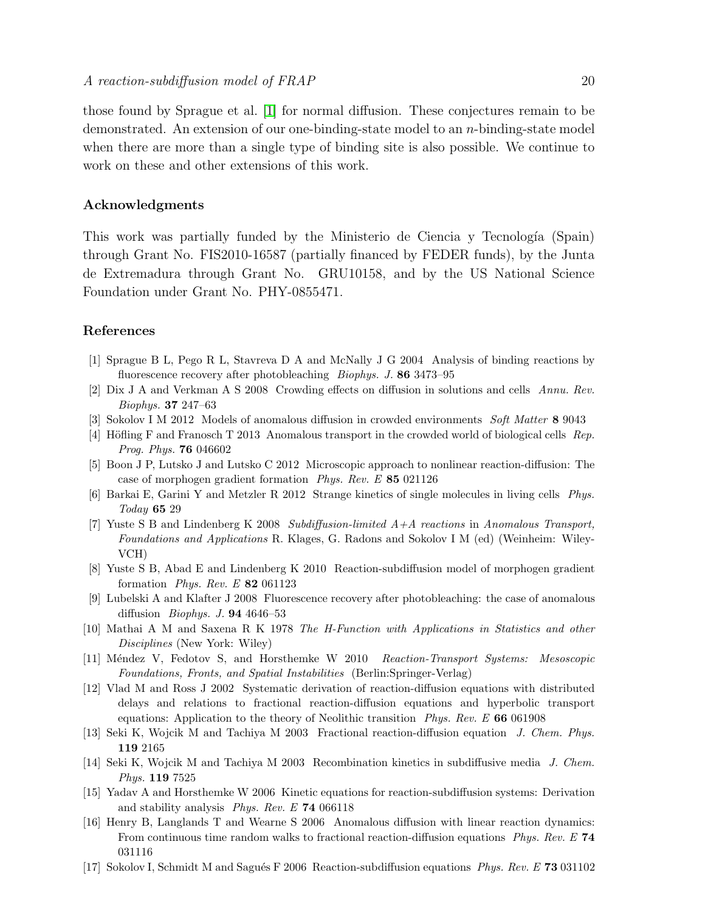those found by Sprague et al. [\[1\]](#page-19-0) for normal diffusion. These conjectures remain to be demonstrated. An extension of our one-binding-state model to an  $n$ -binding-state model when there are more than a single type of binding site is also possible. We continue to work on these and other extensions of this work.

## Acknowledgments

This work was partially funded by the Ministerio de Ciencia y Tecnología (Spain) through Grant No. FIS2010-16587 (partially financed by FEDER funds), by the Junta de Extremadura through Grant No. GRU10158, and by the US National Science Foundation under Grant No. PHY-0855471.

## <span id="page-19-0"></span>References

- <span id="page-19-1"></span>[1] Sprague B L, Pego R L, Stavreva D A and McNally J G 2004 Analysis of binding reactions by fluorescence recovery after photobleaching *Biophys. J.* 86 3473–95
- <span id="page-19-2"></span>[2] Dix J A and Verkman A S 2008 Crowding effects on diffusion in solutions and cells Annu. Rev. Biophys. 37 247–63
- <span id="page-19-3"></span>[3] Sokolov I M 2012 Models of anomalous diffusion in crowded environments Soft Matter 8 9043
- <span id="page-19-4"></span>[4] Höfling F and Franosch T 2013 Anomalous transport in the crowded world of biological cells Rep. Prog. Phys. 76 046602
- <span id="page-19-5"></span>[5] Boon J P, Lutsko J and Lutsko C 2012 Microscopic approach to nonlinear reaction-diffusion: The case of morphogen gradient formation Phys. Rev. E 85 021126
- <span id="page-19-6"></span>[6] Barkai E, Garini Y and Metzler R 2012 Strange kinetics of single molecules in living cells Phys. Today 65 29
- [7] Yuste S B and Lindenberg K 2008 Subdiffusion-limited  $A+A$  reactions in Anomalous Transport, Foundations and Applications R. Klages, G. Radons and Sokolov I M (ed) (Weinheim: Wiley-VCH)
- <span id="page-19-8"></span><span id="page-19-7"></span>[8] Yuste S B, Abad E and Lindenberg K 2010 Reaction-subdiffusion model of morphogen gradient formation Phys. Rev. E 82 061123
- [9] Lubelski A and Klafter J 2008 Fluorescence recovery after photobleaching: the case of anomalous diffusion Biophys. J. 94 4646–53
- <span id="page-19-9"></span>[10] Mathai A M and Saxena R K 1978 The H-Function with Applications in Statistics and other Disciplines (New York: Wiley)
- <span id="page-19-11"></span><span id="page-19-10"></span>[11] Méndez V, Fedotov S, and Horsthemke W 2010 Reaction-Transport Systems: Mesoscopic Foundations, Fronts, and Spatial Instabilities (Berlin:Springer-Verlag)
- [12] Vlad M and Ross J 2002 Systematic derivation of reaction-diffusion equations with distributed delays and relations to fractional reaction-diffusion equations and hyperbolic transport equations: Application to the theory of Neolithic transition  $Phys. Rev. E$  66 061908
- [13] Seki K, Wojcik M and Tachiya M 2003 Fractional reaction-diffusion equation J. Chem. Phys. 119 2165
- [14] Seki K, Wojcik M and Tachiya M 2003 Recombination kinetics in subdiffusive media J. Chem. Phys. 119 7525
- [15] Yadav A and Horsthemke W 2006 Kinetic equations for reaction-subdiffusion systems: Derivation and stability analysis Phys. Rev. E 74 066118
- [16] Henry B, Langlands T and Wearne S 2006 Anomalous diffusion with linear reaction dynamics: From continuous time random walks to fractional reaction-diffusion equations *Phys. Rev. E* 74 031116
- [17] Sokolov I, Schmidt M and Sagués F 2006 Reaction-subdiffusion equations Phys. Rev. E 73 031102